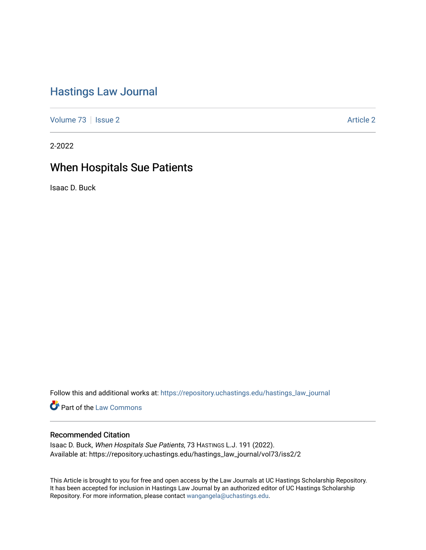# [Hastings Law Journal](https://repository.uchastings.edu/hastings_law_journal)

[Volume 73](https://repository.uchastings.edu/hastings_law_journal/vol73) | [Issue 2](https://repository.uchastings.edu/hastings_law_journal/vol73/iss2) [Article 2](https://repository.uchastings.edu/hastings_law_journal/vol73/iss2/2) Article 2 Article 2 Article 2 Article 2 Article 2 Article 2

2-2022

# When Hospitals Sue Patients

Isaac D. Buck

Follow this and additional works at: [https://repository.uchastings.edu/hastings\\_law\\_journal](https://repository.uchastings.edu/hastings_law_journal?utm_source=repository.uchastings.edu%2Fhastings_law_journal%2Fvol73%2Fiss2%2F2&utm_medium=PDF&utm_campaign=PDFCoverPages) 

**Part of the [Law Commons](http://network.bepress.com/hgg/discipline/578?utm_source=repository.uchastings.edu%2Fhastings_law_journal%2Fvol73%2Fiss2%2F2&utm_medium=PDF&utm_campaign=PDFCoverPages)** 

# Recommended Citation

Isaac D. Buck, When Hospitals Sue Patients, 73 HASTINGS L.J. 191 (2022). Available at: https://repository.uchastings.edu/hastings\_law\_journal/vol73/iss2/2

This Article is brought to you for free and open access by the Law Journals at UC Hastings Scholarship Repository. It has been accepted for inclusion in Hastings Law Journal by an authorized editor of UC Hastings Scholarship Repository. For more information, please contact [wangangela@uchastings.edu](mailto:wangangela@uchastings.edu).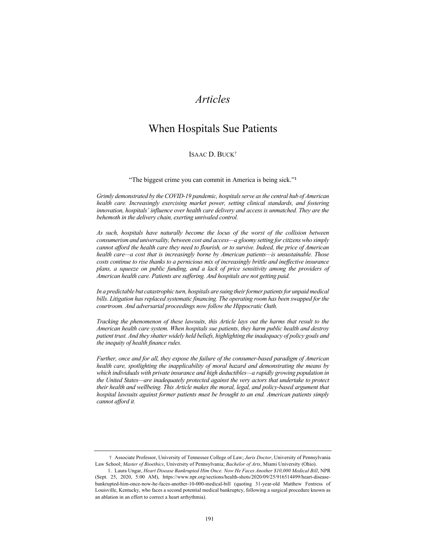# *Articles*

# When Hospitals Sue Patients

# ISAAC D. BUCK†

"The biggest crime you can commit in America is being sick."<sup>1</sup>

*Grimly demonstrated by the COVID-19 pandemic, hospitals serve as the central hub of American health care. Increasingly exercising market power, setting clinical standards, and fostering innovation, hospitals' influence over health care delivery and access is unmatched. They are the behemoth in the delivery chain, exerting unrivaled control.*

*As such, hospitals have naturally become the locus of the worst of the collision between consumerism and universality, between cost and access—a gloomy setting for citizens who simply cannot afford the health care they need to flourish, or to survive. Indeed, the price of American health care—a cost that is increasingly borne by American patients—is unsustainable. Those costs continue to rise thanks to a pernicious mix of increasingly brittle and ineffective insurance plans, a squeeze on public funding, and a lack of price sensitivity among the providers of American health care. Patients are suffering. And hospitals are not getting paid.*

*In a predictable but catastrophic turn, hospitals are suing their former patients for unpaid medical bills. Litigation has replaced systematic financing. The operating room has been swapped for the courtroom. And adversarial proceedings now follow the Hippocratic Oath.*

*Tracking the phenomenon of these lawsuits, this Article lays out the harms that result to the American health care system. When hospitals sue patients, they harm public health and destroy patient trust. And they shatter widely held beliefs, highlighting the inadequacy of policy goals and the inequity of health finance rules.*

*Further, once and for all, they expose the failure of the consumer-based paradigm of American health care, spotlighting the inapplicability of moral hazard and demonstrating the means by which individuals with private insurance and high deductibles—a rapidly growing population in the United States—are inadequately protected against the very actors that undertake to protect their health and wellbeing. This Article makes the moral, legal, and policy-based argument that hospital lawsuits against former patients must be brought to an end. American patients simply cannot afford it.*

<sup>†</sup> Associate Professor, University of Tennessee College of Law; *Juris Doctor*, University of Pennsylvania Law School; *Master of Bioethics*, University of Pennsylvania; *Bachelor of Arts*, Miami University (Ohio).

<sup>1.</sup> Laura Ungar, *Heart Disease Bankrupted Him Once. Now He Faces Another \$10,000 Medical Bill*, NPR (Sept. 25, 2020, 5:00 AM), https://www.npr.org/sections/health-shots/2020/09/25/916514499/heart-diseasebankrupted-him-once-now-he-faces-another-10-000-medical-bill (quoting 31-year-old Matthew Fentress of Louisville, Kentucky, who faces a second potential medical bankruptcy, following a surgical procedure known as an ablation in an effort to correct a heart arrhythmia).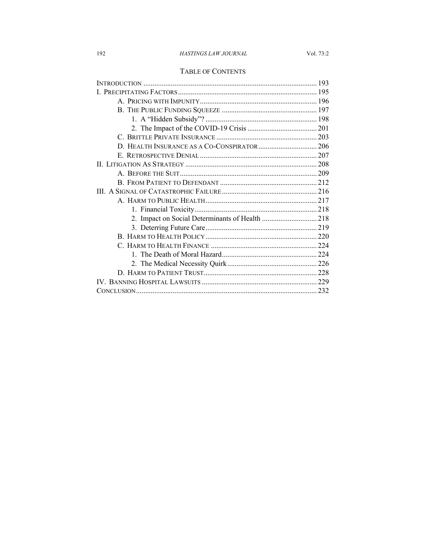# TABLE OF CONTENTS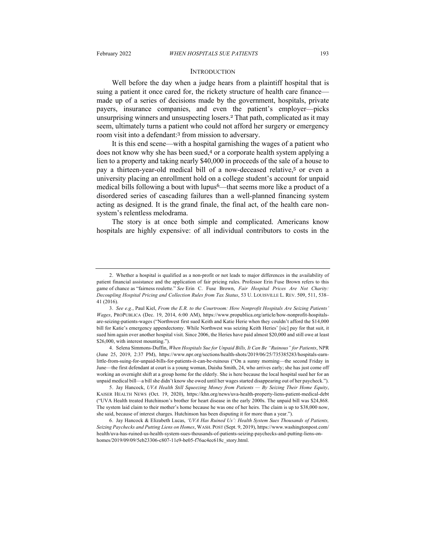#### **INTRODUCTION**

Well before the day when a judge hears from a plaintiff hospital that is suing a patient it once cared for, the rickety structure of health care finance made up of a series of decisions made by the government, hospitals, private payers, insurance companies, and even the patient's employer—picks unsurprising winners and unsuspecting losers.<sup>2</sup> That path, complicated as it may seem, ultimately turns a patient who could not afford her surgery or emergency room visit into a defendant: <sup>3</sup> from mission to adversary.

It is this end scene—with a hospital garnishing the wages of a patient who does not know why she has been sued,<sup>4</sup> or a corporate health system applying a lien to a property and taking nearly \$40,000 in proceeds of the sale of a house to pay a thirteen-year-old medical bill of a now-deceased relative,<sup>5</sup> or even a university placing an enrollment hold on a college student's account for unpaid medical bills following a bout with lupus<sup>6</sup>—that seems more like a product of a disordered series of cascading failures than a well-planned financing system acting as designed. It is the grand finale, the final act, of the health care nonsystem's relentless melodrama.

The story is at once both simple and complicated. Americans know hospitals are highly expensive: of all individual contributors to costs in the

<sup>2.</sup> Whether a hospital is qualified as a non-profit or not leads to major differences in the availability of patient financial assistance and the application of fair pricing rules. Professor Erin Fuse Brown refers to this game of chance as "fairness roulette." *See* Erin C. Fuse Brown, *Fair Hospital Prices Are Not Charity: Decoupling Hospital Pricing and Collection Rules from Tax Status*, 53 U. LOUISVILLE L. REV. 509, 511, 538– 41 (2016).

<sup>3.</sup> *See e.g.*, Paul Kiel, *From the E.R. to the Courtroom: How Nonprofit Hospitals Are Seizing Patients' Wages*, PROPUBLICA (Dec. 19, 2014, 6:00 AM), https://www.propublica.org/article/how-nonprofit-hospitalsare-seizing-patients-wages ("Northwest first sued Keith and Katie Herie when they couldn't afford the \$14,000 bill for Katie's emergency appendectomy. While Northwest was seizing Keith Heries' [sic] pay for that suit, it sued him again over another hospital visit. Since 2006, the Heries have paid almost \$20,000 and still owe at least \$26,000, with interest mounting.").

<sup>4.</sup> Selena Simmons-Duffin, *When Hospitals Sue for Unpaid Bills, It Can Be "Ruinous" for Patients*, NPR (June 25, 2019, 2:37 PM), https://www.npr.org/sections/health-shots/2019/06/25/735385283/hospitals-earnlittle-from-suing-for-unpaid-bills-for-patients-it-can-be-ruinous ("On a sunny morning—the second Friday in June—the first defendant at court is a young woman, Daisha Smith, 24, who arrives early; she has just come off working an overnight shift at a group home for the elderly. She is here because the local hospital sued her for an unpaid medical bill—a bill she didn't know she owed until her wages started disappearing out of her paycheck.").

<sup>5.</sup> Jay Hancock, *UVA Health Still Squeezing Money from Patients — By Seizing Their Home Equity*, KAISER HEALTH NEWS (Oct. 19, 2020), https://khn.org/news/uva-health-property-liens-patient-medical-debt ("UVA Health treated Hutchinson's brother for heart disease in the early 2000s. The unpaid bill was \$24,868. The system laid claim to their mother's home because he was one of her heirs. The claim is up to \$38,000 now, she said, because of interest charges. Hutchinson has been disputing it for more than a year.").

<sup>6.</sup> Jay Hancock & Elizabeth Lucas, *'UVA Has Ruined Us': Health System Sues Thousands of Patients, Seizing Paychecks and Putting Liens on Homes*, WASH. POST (Sept. 9, 2019), https://www.washingtonpost.com/ health/uva-has-ruined-us-health-system-sues-thousands-of-patients-seizing-paychecks-and-putting-liens-onhomes/2019/09/09/5eb23306-c807-11e9-be05-f76ac4ec618c\_story.html.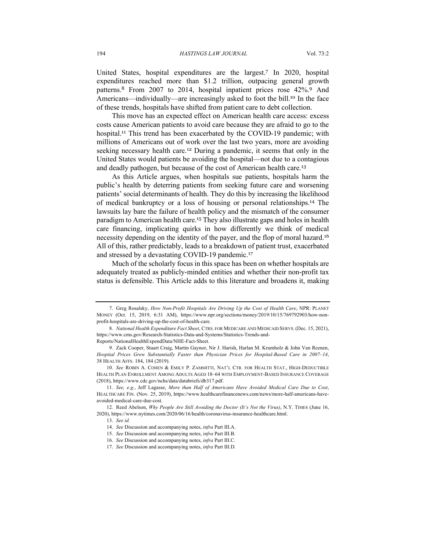United States, hospital expenditures are the largest.<sup>7</sup> In 2020, hospital expenditures reached more than \$1.2 trillion, outpacing general growth patterns.<sup>8</sup> From 2007 to 2014, hospital inpatient prices rose 42%.<sup>9</sup> And Americans—individually—are increasingly asked to foot the bill.<sup>10</sup> In the face of these trends, hospitals have shifted from patient care to debt collection.

This move has an expected effect on American health care access: excess costs cause American patients to avoid care because they are afraid to go to the hospital.<sup>11</sup> This trend has been exacerbated by the COVID-19 pandemic; with millions of Americans out of work over the last two years, more are avoiding seeking necessary health care.<sup>12</sup> During a pandemic, it seems that only in the United States would patients be avoiding the hospital—not due to a contagious and deadly pathogen, but because of the cost of American health care.<sup>13</sup>

As this Article argues, when hospitals sue patients, hospitals harm the public's health by deterring patients from seeking future care and worsening patients' social determinants of health. They do this by increasing the likelihood of medical bankruptcy or a loss of housing or personal relationships.<sup>14</sup> The lawsuits lay bare the failure of health policy and the mismatch of the consumer paradigm to American health care.<sup>15</sup> They also illustrate gaps and holes in health care financing, implicating quirks in how differently we think of medical necessity depending on the identity of the payer, and the flop of moral hazard.<sup>16</sup> All of this, rather predictably, leads to a breakdown of patient trust, exacerbated and stressed by a devastating COVID-19 pandemic.<sup>17</sup>

Much of the scholarly focus in this space has been on whether hospitals are adequately treated as publicly-minded entities and whether their non-profit tax status is defensible. This Article adds to this literature and broadens it, making

<sup>7.</sup> Greg Rosalsky, *How Non-Profit Hospitals Are Driving Up the Cost of Health Care*, NPR: PLANET MONEY (Oct. 15, 2019, 6:31 AM), https://www.npr.org/sections/money/2019/10/15/769792903/how-nonprofit-hospitals-are-driving-up-the-cost-of-health-care.

<sup>8.</sup> *National Health Expenditure Fact Sheet*, CTRS. FOR MEDICARE AND MEDICAID SERVS.(Dec. 15, 2021), https://www.cms.gov/Research-Statistics-Data-and-Systems/Statistics-Trends-and-Reports/NationalHealthExpendData/NHE-Fact-Sheet.

<sup>9.</sup> Zack Cooper, Stuart Craig, Martin Gaynor, Nir J. Harish, Harlan M. Krumholz & John Van Reenen, *Hospital Prices Grew Substantially Faster than Physician Prices for Hospital-Based Care in 2007–14*, 38 HEALTH AFFS. 184, 184 (2019).

<sup>10.</sup> *See* ROBIN A. COHEN & EMILY P. ZAMMITTI, NAT'L CTR. FOR HEALTH STAT., HIGH-DEDUCTIBLE HEALTH PLAN ENROLLMENT AMONG ADULTS AGED 18–64 WITH EMPLOYMENT-BASED INSURANCE COVERAGE (2018), https://www.cdc.gov/nchs/data/databriefs/db317.pdf.

<sup>11.</sup> *See, e.g.*, Jeff Lagasse, *More than Half of Americans Have Avoided Medical Care Due to Cost*, HEALTHCARE FIN. (Nov. 25, 2019), https://www.healthcarefinancenews.com/news/more-half-americans-haveavoided-medical-care-due-cost.

<sup>12.</sup> Reed Abelson, *Why People Are Still Avoiding the Doctor (It's Not the Virus)*, N.Y. TIMES (June 16, 2020), https://www.nytimes.com/2020/06/16/health/coronavirus-insurance-healthcare.html.

<sup>13.</sup> *See id.*

<sup>14.</sup> *See* Discussion and accompanying notes, *infra* Part III.A.

<sup>15.</sup> *See* Discussion and accompanying notes, *infra* Part III.B.

<sup>16.</sup> *See* Discussion and accompanying notes, *infra* Part III.C.

<sup>17.</sup> *See* Discussion and accompanying notes, *infra* Part III.D.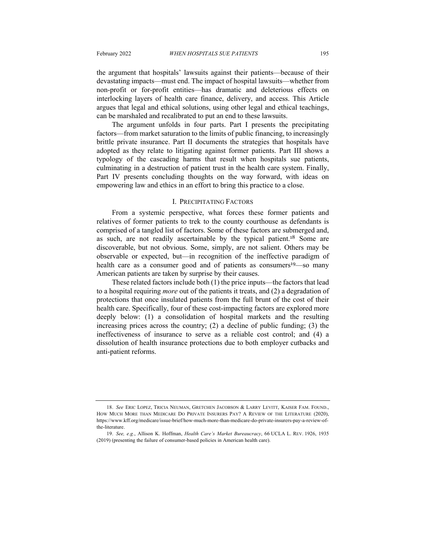the argument that hospitals' lawsuits against their patients—because of their devastating impacts—must end. The impact of hospital lawsuits—whether from non-profit or for-profit entities—has dramatic and deleterious effects on interlocking layers of health care finance, delivery, and access. This Article argues that legal and ethical solutions, using other legal and ethical teachings, can be marshaled and recalibrated to put an end to these lawsuits.

The argument unfolds in four parts. Part I presents the precipitating factors—from market saturation to the limits of public financing, to increasingly brittle private insurance. Part II documents the strategies that hospitals have adopted as they relate to litigating against former patients. Part III shows a typology of the cascading harms that result when hospitals sue patients, culminating in a destruction of patient trust in the health care system. Finally, Part IV presents concluding thoughts on the way forward, with ideas on empowering law and ethics in an effort to bring this practice to a close.

#### I. PRECIPITATING FACTORS

From a systemic perspective, what forces these former patients and relatives of former patients to trek to the county courthouse as defendants is comprised of a tangled list of factors. Some of these factors are submerged and, as such, are not readily ascertainable by the typical patient.<sup>18</sup> Some are discoverable, but not obvious. Some, simply, are not salient. Others may be observable or expected, but—in recognition of the ineffective paradigm of health care as a consumer good and of patients as consumers<sup>19</sup>—so many American patients are taken by surprise by their causes.

These related factors include both (1) the price inputs—the factors that lead to a hospital requiring *more* out of the patients it treats, and (2) a degradation of protections that once insulated patients from the full brunt of the cost of their health care. Specifically, four of these cost-impacting factors are explored more deeply below: (1) a consolidation of hospital markets and the resulting increasing prices across the country; (2) a decline of public funding; (3) the ineffectiveness of insurance to serve as a reliable cost control; and (4) a dissolution of health insurance protections due to both employer cutbacks and anti-patient reforms.

<sup>18.</sup> *See* ERIC LOPEZ, TRICIA NEUMAN, GRETCHEN JACOBSON & LARRY LEVITT, KAISER FAM. FOUND., HOW MUCH MORE THAN MEDICARE DO PRIVATE INSURERS PAY? A REVIEW OF THE LITERATURE (2020), https://www.kff.org/medicare/issue-brief/how-much-more-than-medicare-do-private-insurers-pay-a-review-ofthe-literature.

<sup>19.</sup> *See, e.g.*, Allison K. Hoffman, *Health Care's Market Bureaucracy*, 66 UCLA L. REV. 1926, 1935 (2019) (presenting the failure of consumer-based policies in American health care).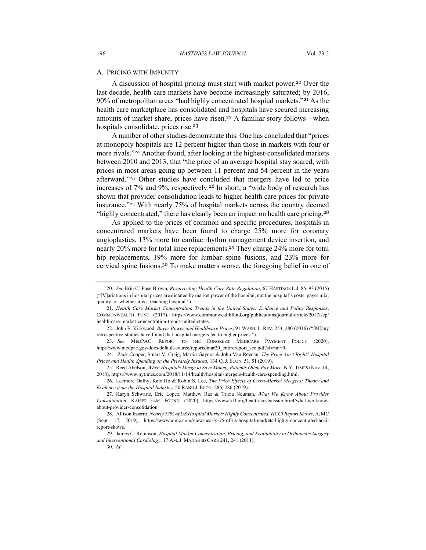#### A. PRICING WITH IMPUNITY

A discussion of hospital pricing must start with market power.<sup>20</sup> Over the last decade, health care markets have become increasingly saturated; by 2016, 90% of metropolitan areas "had highly concentrated hospital markets."<sup>21</sup> As the health care marketplace has consolidated and hospitals have secured increasing amounts of market share, prices have risen.<sup>22</sup> A familiar story follows—when hospitals consolidate, prices rise.<sup>23</sup>

A number of other studies demonstrate this. One has concluded that "prices at monopoly hospitals are 12 percent higher than those in markets with four or more rivals."<sup>24</sup> Another found, after looking at the highest-consolidated markets between 2010 and 2013, that "the price of an average hospital stay soared, with prices in most areas going up between 11 percent and 54 percent in the years afterward."<sup>25</sup> Other studies have concluded that mergers have led to price increases of 7% and 9%, respectively.<sup>26</sup> In short, a "wide body of research has shown that provider consolidation leads to higher health care prices for private insurance."<sup>27</sup> With nearly 75% of hospital markets across the country deemed "highly concentrated," there has clearly been an impact on health care pricing.<sup>28</sup>

As applied to the prices of common and specific procedures, hospitals in concentrated markets have been found to charge 25% more for coronary angioplasties, 13% more for cardiac rhythm management device insertion, and nearly 20% more for total knee replacements.<sup>29</sup> They charge 24% more for total hip replacements, 19% more for lumbar spine fusions, and 23% more for cervical spine fusions.<sup>30</sup> To make matters worse, the foregoing belief in one of

25. Reed Abelson, *When Hospitals Merge to Save Money, Patients Often Pay More*, N.Y. TIMES (Nov. 14, 2018), https://www.nytimes.com/2018/11/14/health/hospital-mergers-health-care-spending.html.

29. James C. Robinson, *Hospital Market Concentration, Pricing, and Profitability in Orthopedic Surgery and Interventional Cardiology*, 17 AM. J. MANAGED CARE 241, 241 (2011).

30. *Id.*

<sup>20.</sup> *See* Erin C. Fuse Brown, *Resurrecting Health Care Rate Regulation*, 67 HASTINGS L.J. 85, 93 (2015) ("[V]ariations in hospital prices are dictated by market power of the hospital, not the hospital's costs, payer mix, quality, or whether it is a teaching hospital.").

<sup>21.</sup> *Health Care Market Concentration Trends in the United States: Evidence and Policy Responses*, COMMONWEALTH FUND (2017), https://www.commonwealthfund.org/publications/journal-article/2017/sep/ health-care-market-concentration-trends-united-states.

<sup>22.</sup> John B. Kirkwood, *Buyer Power and Healthcare Prices*, 91 WASH. L. REV. 253, 280 (2016) ("[M]any retrospective studies have found that hospital mergers led to higher prices.").

<sup>23.</sup> *See* MEDPAC, REPORT TO THE CONGRESS: MEDICARE PAYMENT POLICY (2020), http://www.medpac.gov/docs/default-source/reports/mar20\_entirereport\_sec.pdf?sfvrsn=0.

<sup>24.</sup> Zack Cooper, Stuart V. Craig, Martin Gaynor & John Van Reenan, *The Price Ain't Right? Hospital Prices and Health Spending on the Privately Insured*, 134 Q. J. ECON. 51, 51 (2019).

<sup>26.</sup> Leemore Dafny, Kate Ho & Robin S. Lee, *The Price Effects of Cross-Market Mergers: Theory and Evidence from the Hospital Industry*, 50 RAND J. ECON. 286, 286 (2019).

<sup>27.</sup> Karyn Schwartz, Eric Lopez, Matthew Rae & Tricia Neuman, *What We Know About Provider Consolidation*, KAISER FAM. FOUND. (2020), https://www.kff.org/health-costs/issue-brief/what-we-knowabout-provider-consolidation.

<sup>28.</sup> Allison Inserro, *Nearly 75% of US Hospital Markets Highly Concentrated, HCCI Report Shows*, AJMC (Sept. 17, 2019), https://www.ajmc.com/view/nearly-75-of-us-hospital-markets-highly-concentrated-hccireport-shows.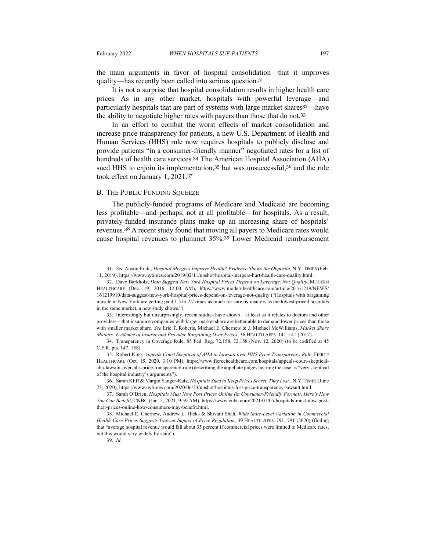the main arguments in favor of hospital consolidation—that it improves quality—has recently been called into serious question.<sup>31</sup>

It is not a surprise that hospital consolidation results in higher health care prices. As in any other market, hospitals with powerful leverage—and particularly hospitals that are part of systems with large market shares<sup>32</sup>—have the ability to negotiate higher rates with payers than those that do not.<sup>33</sup>

In an effort to combat the worst effects of market consolidation and increase price transparency for patients, a new U.S. Department of Health and Human Services (HHS) rule now requires hospitals to publicly disclose and provide patients "in a consumer-friendly manner" negotiated rates for a list of hundreds of health care services.<sup>34</sup> The American Hospital Association (AHA) sued HHS to enjoin its implementation,<sup>35</sup> but was unsuccessful,<sup>36</sup> and the rule took effect on January 1, 2021.<sup>37</sup>

#### B. THE PUBLIC FUNDING SQUEEZE

The publicly-funded programs of Medicare and Medicaid are becoming less profitable—and perhaps, not at all profitable—for hospitals. As a result, privately-funded insurance plans make up an increasing share of hospitals' revenues.<sup>38</sup> A recent study found that moving all payers to Medicare rates would cause hospital revenues to plummet 35%. <sup>39</sup> Lower Medicaid reimbursement

<sup>31.</sup> *See* Austin Frakt, *Hospital Mergers Improve Health? Evidence Shows the Opposite*, N.Y. TIMES (Feb. 11, 2019), https://www.nytimes.com/2019/02/11/upshot/hospital-mergers-hurt-health-care-quality.html.

<sup>32.</sup> Dave Barkholz, *Data Suggest New York Hospital Prices Depend on Leverage, Not Quality*, MODERN HEALTHCARE (Dec. 19, 2016, 12:00 AM), https://www.modernhealthcare.com/article/20161219/NEWS/ 161219910/data-suggest-new-york-hospital-prices-depend-on-leverage-not-quality ("Hospitals with bargaining muscle in New York are getting paid 1.5 to 2.7 times as much for care by insurers as the lowest-priced hospitals in the same market, a new study shows.").

<sup>33.</sup> Interestingly but unsurprisingly, recent studies have shown—at least as it relates to doctors and other providers—that insurance companies with larger market share are better able to demand lower prices than those with smaller market share. *See* Eric T. Roberts, Michael E. Chernew & J. Michael McWilliams, *Market Share Matters: Evidence of Insurer and Provider Bargaining Over Prices*, 36 HEALTH AFFS. 141, 141 (2017).

<sup>34.</sup> Transparency in Coverage Rule, 85 Fed. Reg. 72,158, 72,158 (Nov. 12, 2020) (to be codified at 45 C.F.R. pts. 147, 158).

<sup>35.</sup> Robert King, *Appeals Court Skeptical of AHA in Lawsuit over HHS Price Transparency Rule*, FIERCE HEALTHCARE (Oct. 15, 2020, 3:10 PM), https://www.fiercehealthcare.com/hospitals/appeals-court-skepticalaha-lawsuit-over-hhs-price-transparency-rule (describing the appellate judges hearing the case as "very skeptical of the hospital industry's arguments").

<sup>36.</sup> Sarah Kliff & Margot Sanger-Katz, *Hospitals Sued to Keep Prices Secret. They Lost.*, N.Y. TIMES (June 23, 2020), https://www.nytimes.com/2020/06/23/upshot/hospitals-lost-price-transparency-lawsuit.html.

<sup>37.</sup> Sarah O'Brien, *Hospitals Must Now Post Prices Online (in Consumer-Friendly Format). Here's How You Can Benefit*, CNBC (Jan. 5, 2021, 9:59 AM), https://www.cnbc.com/2021/01/05/hospitals-must-now-posttheir-prices-online-how-consumers-may-benefit.html.

<sup>38.</sup> Michael E. Chernew, Andrew L. Hicks & Shivani Shah, *Wide State-Level Variation in Commercial Health Care Prices Suggests Uneven Impact of Price Regulation*, 39 HEALTH AFFS. 791, 791 (2020) (finding that "average hospital revenue would fall about 35 percent if commercial prices were limited to Medicare rates, but this would vary widely by state").

<sup>39.</sup> *Id.*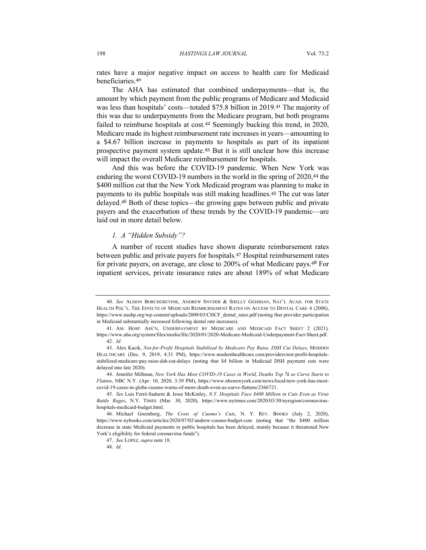rates have a major negative impact on access to health care for Medicaid beneficiaries.<sup>40</sup>

The AHA has estimated that combined underpayments—that is, the amount by which payment from the public programs of Medicare and Medicaid was less than hospitals' costs—totaled \$75.8 billion in 2019. <sup>41</sup> The majority of this was due to underpayments from the Medicare program, but both programs failed to reimburse hospitals at cost.<sup>42</sup> Seemingly bucking this trend, in 2020, Medicare made its highest reimbursement rate increases in years—amounting to a \$4.67 billion increase in payments to hospitals as part of its inpatient prospective payment system update.<sup>43</sup> But it is still unclear how this increase will impact the overall Medicare reimbursement for hospitals.

And this was before the COVID-19 pandemic. When New York was enduring the worst COVID-19 numbers in the world in the spring of 2020,<sup>44</sup> the \$400 million cut that the New York Medicaid program was planning to make in payments to its public hospitals was still making headlines.<sup>45</sup> The cut was later delayed.<sup>46</sup> Both of these topics—the growing gaps between public and private payers and the exacerbation of these trends by the COVID-19 pandemic—are laid out in more detail below.

#### *1. A "Hidden Subsidy"?*

A number of recent studies have shown disparate reimbursement rates between public and private payers for hospitals.<sup>47</sup> Hospital reimbursement rates for private payers, on average, are close to 200% of what Medicare pays.<sup>48</sup> For inpatient services, private insurance rates are about 189% of what Medicare

<sup>40.</sup> *See* ALISON BORCHGREVINK, ANDREW SNYDER & SHELLY GEHSHAN, NAT'L ACAD. FOR STATE HEALTH POL'Y, THE EFFECTS OF MEDICAID REIMBURSEMENT RATES ON ACCESS TO DENTAL CARE 4 (2008), https://www.nashp.org/wp-content/uploads/2009/03/CHCF\_dental\_rates.pdf (noting that provider participation in Medicaid substantially increased following dental rate increases).

<sup>41.</sup> AM. HOSP. ASS'N, UNDERPAYMENT BY MEDICARE AND MEDICAID FACT SHEET 2 (2021)*,* https://www.aha.org/system/files/media/file/2020/01/2020-Medicare-Medicaid-Underpayment-Fact-Sheet.pdf. 42. *Id.*

<sup>43.</sup> Alex Kacik, *Not-for-Profit Hospitals Stabilized by Medicare Pay Raise, DSH Cut Delays*, MODERN HEALTHCARE (Dec. 9, 2019, 4:31 PM), https://www.modernhealthcare.com/providers/not-profit-hospitalsstabilized-medicare-pay-raise-dsh-cut-delays (noting that \$4 billion in Medicaid DSH payment cuts were delayed into late 2020).

<sup>44.</sup> Jennifer Millman, *New York Has Most COVID-19 Cases in World, Deaths Top 7k as Curve Starts to Flatten*, NBC N.Y. (Apr. 10, 2020, 3:39 PM), https://www.nbcnewyork.com/news/local/new-york-has-mostcovid-19-cases-in-globe-cuomo-warns-of-more-death-even-as-curve-flattens/2366721.

<sup>45.</sup> *See* Luis Ferré-Sadurní & Jesse McKinley, *N.Y. Hospitals Face \$400 Million in Cuts Even as Virus Battle Rages*, N.Y. TIMES (Mar. 30, 2020), https://www.nytimes.com/2020/03/30/nyregion/coronavirushospitals-medicaid-budget.html.

<sup>46.</sup> Michael Greenberg, *The Costs of Cuomo's Cuts*, N. Y. REV. BOOKS (July 2, 2020), https://www.nybooks.com/articles/2020/07/02/andrew-cuomo-budget-cuts (noting that "the \$400 million decrease in state Medicaid payments to public hospitals has been delayed, mainly because it threatened New York's eligibility for federal coronavirus funds").

<sup>47.</sup> *See* LOPEZ, *supra* note 18.

<sup>48.</sup> *Id.*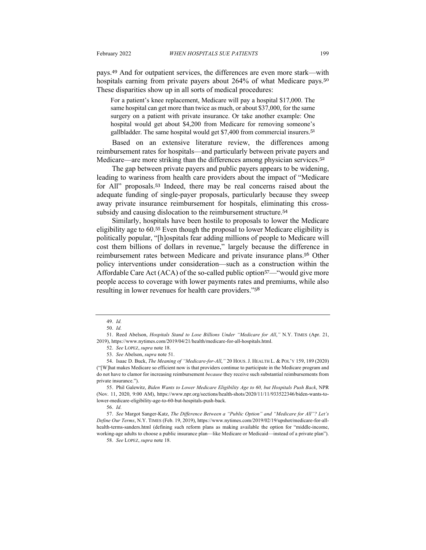pays.<sup>49</sup> And for outpatient services, the differences are even more stark—with hospitals earning from private payers about 264% of what Medicare pays.<sup>50</sup> These disparities show up in all sorts of medical procedures:

For a patient's knee replacement, Medicare will pay a hospital \$17,000. The same hospital can get more than twice as much, or about \$37,000, for the same surgery on a patient with private insurance. Or take another example: One hospital would get about \$4,200 from Medicare for removing someone's gallbladder. The same hospital would get \$7,400 from commercial insurers.<sup>51</sup>

Based on an extensive literature review, the differences among reimbursement rates for hospitals—and particularly between private payers and Medicare—are more striking than the differences among physician services.<sup>52</sup>

The gap between private payers and public payers appears to be widening, leading to wariness from health care providers about the impact of "Medicare for All" proposals.<sup>53</sup> Indeed, there may be real concerns raised about the adequate funding of single-payer proposals, particularly because they sweep away private insurance reimbursement for hospitals, eliminating this crosssubsidy and causing dislocation to the reimbursement structure.<sup>54</sup>

Similarly, hospitals have been hostile to proposals to lower the Medicare eligibility age to 60. <sup>55</sup> Even though the proposal to lower Medicare eligibility is politically popular, "[h]ospitals fear adding millions of people to Medicare will cost them billions of dollars in revenue," largely because the difference in reimbursement rates between Medicare and private insurance plans.<sup>56</sup> Other policy interventions under consideration—such as a construction within the Affordable Care Act (ACA) of the so-called public option<sup>57</sup>—"would give more people access to coverage with lower payments rates and premiums, while also resulting in lower revenues for health care providers."<sup>58</sup>

55. Phil Galewitz, *Biden Wants to Lower Medicare Eligibility Age to 60, but Hospitals Push Back*, NPR (Nov. 11, 2020, 9:00 AM), https://www.npr.org/sections/health-shots/2020/11/11/933522346/biden-wants-tolower-medicare-eligibility-age-to-60-but-hospitals-push-back.

56. *Id.*

57. *See* Margot Sanger-Katz, *The Difference Between a "Public Option" and "Medicare for All"? Let's Define Our Terms*, N.Y. TIMES (Feb. 19, 2019), https://www.nytimes.com/2019/02/19/upshot/medicare-for-allhealth-terms-sanders.html (defining such reform plans as making available the option for "middle-income, working-age adults to choose a public insurance plan—like Medicare or Medicaid—instead of a private plan"). 58. *See* LOPEZ, *supra* note 18.

<sup>49.</sup> *Id.*

<sup>50.</sup> *Id.*

<sup>51.</sup> Reed Abelson, *Hospitals Stand to Lose Billions Under "Medicare for All*,*"* N.Y. TIMES (Apr. 21, 2019), https://www.nytimes.com/2019/04/21/health/medicare-for-all-hospitals.html.

<sup>52.</sup> *See* LOPEZ, *supra* note 18.

<sup>53.</sup> *See* Abelson, *supra* note 51.

<sup>54.</sup> Isaac D. Buck, *The Meaning of "Medicare-for-All*,*"* 20 HOUS. J. HEALTH L. & POL'Y 159, 189 (2020) ("[W]hat makes Medicare so efficient now is that providers continue to participate in the Medicare program and do not have to clamor for increasing reimbursement *because* they receive such substantial reimbursements from private insurance.").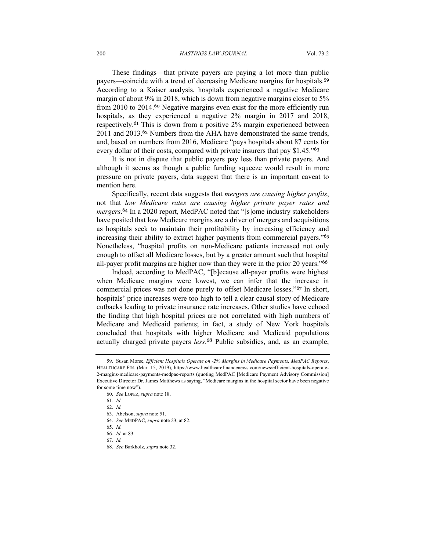These findings—that private payers are paying a lot more than public payers—coincide with a trend of decreasing Medicare margins for hospitals.<sup>59</sup> According to a Kaiser analysis, hospitals experienced a negative Medicare margin of about 9% in 2018, which is down from negative margins closer to 5% from 2010 to 2014.<sup>60</sup> Negative margins even exist for the more efficiently run hospitals, as they experienced a negative 2% margin in 2017 and 2018, respectively.<sup>61</sup> This is down from a positive 2% margin experienced between 2011 and 2013.<sup>62</sup> Numbers from the AHA have demonstrated the same trends, and, based on numbers from 2016, Medicare "pays hospitals about 87 cents for every dollar of their costs, compared with private insurers that pay \$1.45.<sup>163</sup>

It is not in dispute that public payers pay less than private payers. And although it seems as though a public funding squeeze would result in more pressure on private payers, data suggest that there is an important caveat to mention here.

Specifically, recent data suggests that *mergers are causing higher profits*, not that *low Medicare rates are causing higher private payer rates and mergers*. <sup>64</sup> In a 2020 report, MedPAC noted that "[s]ome industry stakeholders have posited that low Medicare margins are a driver of mergers and acquisitions as hospitals seek to maintain their profitability by increasing efficiency and increasing their ability to extract higher payments from commercial payers."<sup>65</sup> Nonetheless, "hospital profits on non-Medicare patients increased not only enough to offset all Medicare losses, but by a greater amount such that hospital all-payer profit margins are higher now than they were in the prior 20 years."<sup>66</sup>

Indeed, according to MedPAC, "[b]ecause all-payer profits were highest when Medicare margins were lowest, we can infer that the increase in commercial prices was not done purely to offset Medicare losses."<sup>67</sup> In short, hospitals' price increases were too high to tell a clear causal story of Medicare cutbacks leading to private insurance rate increases. Other studies have echoed the finding that high hospital prices are not correlated with high numbers of Medicare and Medicaid patients; in fact, a study of New York hospitals concluded that hospitals with higher Medicare and Medicaid populations actually charged private payers *less*. <sup>68</sup> Public subsidies, and, as an example,

<sup>59.</sup> Susan Morse, *Efficient Hospitals Operate on -2% Margins in Medicare Payments, MedPAC Reports*, HEALTHCARE FIN. (Mar. 15, 2019), https://www.healthcarefinancenews.com/news/efficient-hospitals-operate-2-margins-medicare-payments-medpac-reports (quoting MedPAC [Medicare Payment Advisory Commission] Executive Director Dr. James Matthews as saying, "Medicare margins in the hospital sector have been negative for some time now").

<sup>60.</sup> *See* LOPEZ, *supra* note 18.

<sup>61.</sup> *Id.*

<sup>62.</sup> *Id.*

<sup>63.</sup> Abelson, *supra* note 51.

<sup>64.</sup> *See* MEDPAC, *supra* note 23, at 82.

<sup>65.</sup> *Id.*

<sup>66.</sup> *Id.* at 83.

<sup>67.</sup> *Id.*

<sup>68.</sup> *See* Barkholz, *supra* note 32.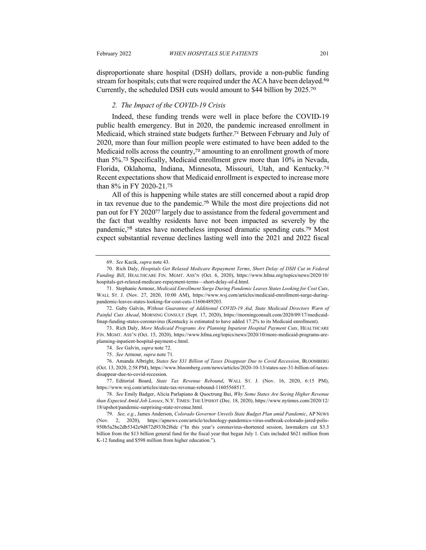disproportionate share hospital (DSH) dollars, provide a non-public funding stream for hospitals; cuts that were required under the ACA have been delayed.<sup>69</sup> Currently, the scheduled DSH cuts would amount to \$44 billion by 2025.<sup>70</sup>

#### *2. The Impact of the COVID-19 Crisis*

Indeed, these funding trends were well in place before the COVID-19 public health emergency. But in 2020, the pandemic increased enrollment in Medicaid, which strained state budgets further.<sup>71</sup> Between February and July of 2020, more than four million people were estimated to have been added to the Medicaid rolls across the country,<sup>72</sup> amounting to an enrollment growth of more than 5%. <sup>73</sup> Specifically, Medicaid enrollment grew more than 10% in Nevada, Florida, Oklahoma, Indiana, Minnesota, Missouri, Utah, and Kentucky.<sup>74</sup> Recent expectations show that Medicaid enrollment is expected to increase more than 8% in FY 2020-21.<sup>75</sup>

All of this is happening while states are still concerned about a rapid drop in tax revenue due to the pandemic.<sup>76</sup> While the most dire projections did not pan out for FY 2020<sup>77</sup> largely due to assistance from the federal government and the fact that wealthy residents have not been impacted as severely by the pandemic,<sup>78</sup> states have nonetheless imposed dramatic spending cuts.<sup>79</sup> Most expect substantial revenue declines lasting well into the 2021 and 2022 fiscal

<sup>69.</sup> *See* Kacik, *supra* note 43.

<sup>70.</sup> Rich Daly, *Hospitals Get Relaxed Medicare Repayment Terms, Short Delay of DSH Cut in Federal Funding Bill*, HEALTHCARE FIN. MGMT. ASS'N (Oct. 6, 2020), https://www.hfma.org/topics/news/2020/10/ hospitals-get-relaxed-medicare-repayment-terms—short-delay-of-d.html.

<sup>71.</sup> Stephanie Armour, *Medicaid Enrollment Surge During Pandemic Leaves States Looking for Cost Cuts*, WALL ST. J. (Nov. 27, 2020, 10:00 AM), https://www.wsj.com/articles/medicaid-enrollment-surge-duringpandemic-leaves-states-looking-for-cost-cuts-11606489203.

<sup>72.</sup> Gaby Galvin, *Without Guarantee of Additional COVID-19 Aid, State Medicaid Directors Warn of Painful Cuts Ahead*, MORNING CONSULT (Sept. 17, 2020), https://morningconsult.com/2020/09/17/medicaidfmap-funding-states-coronavirus (Kentucky is estimated to have added 17.2% to its Medicaid enrollment).

<sup>73.</sup> Rich Daly, *More Medicaid Programs Are Planning Inpatient Hospital Payment Cuts*, HEALTHCARE FIN. MGMT. ASS'N (Oct. 15, 2020), https://www.hfma.org/topics/news/2020/10/more-medicaid-programs-areplanning-inpatient-hospital-payment-c.html.

<sup>74.</sup> *See* Galvin, *supra* note 72.

<sup>75.</sup> *See* Armour*, supra* note 71.

<sup>76.</sup> Amanda Albright, *States See \$31 Billion of Taxes Disappear Due to Covid Recession*, BLOOMBERG (Oct. 13, 2020, 2:58 PM), https://www.bloomberg.com/news/articles/2020-10-13/states-see-31-billion-of-taxesdisappear-due-to-covid-recession.

<sup>77.</sup> Editorial Board, *State Tax Revenue Rebound*, WALL ST. J. (Nov. 16, 2020, 6:15 PM), https://www.wsj.com/articles/state-tax-revenue-rebound-11605568517.

<sup>78.</sup> *See* Emily Badger, Alicia Parlapiano & Quoctrung Bui, *Why Some States Are Seeing Higher Revenue than Expected Amid Job Losses*, N.Y. TIMES: THE UPSHOT (Dec. 18, 2020), https://www.nytimes.com/2020/12/ 18/upshot/pandemic-surprising-state-revenue.html.

<sup>79.</sup> *See, e.g.*, James Anderson, *Colorado Governor Unveils State Budget Plan amid Pandemic*, AP NEWS (Nov. 2, 2020), https://apnews.com/article/technology-pandemics-virus-outbreak-colorado-jared-polis-950b5a2be2db5342e9d872d933b2f6dc ("In this year's coronavirus-shortened session, lawmakers cut \$3.3 billion from the \$13 billion general fund for the fiscal year that began July 1. Cuts included \$621 million from K-12 funding and \$598 million from higher education.").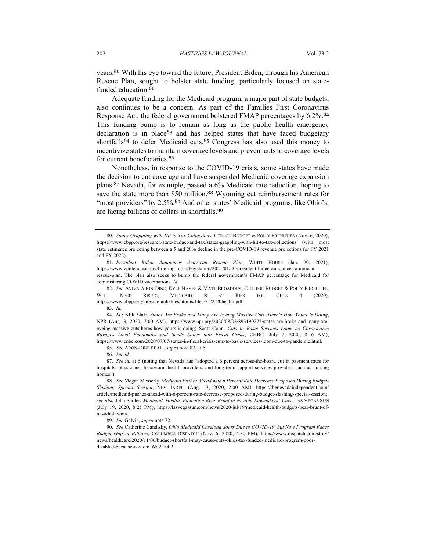years.<sup>80</sup> With his eye toward the future, President Biden, through his American Rescue Plan, sought to bolster state funding, particularly focused on statefunded education.<sup>81</sup>

Adequate funding for the Medicaid program, a major part of state budgets, also continues to be a concern. As part of the Families First Coronavirus Response Act, the federal government bolstered FMAP percentages by 6.2%.<sup>82</sup> This funding bump is to remain as long as the public health emergency declaration is in place<sup>83</sup> and has helped states that have faced budgetary shortfalls<sup>84</sup> to defer Medicaid cuts.<sup>85</sup> Congress has also used this money to incentivize states to maintain coverage levels and prevent cuts to coverage levels for current beneficiaries.<sup>86</sup>

Nonetheless, in response to the COVID-19 crisis, some states have made the decision to cut coverage and have suspended Medicaid coverage expansion plans.<sup>87</sup> Nevada, for example, passed a 6% Medicaid rate reduction, hoping to save the state more than \$50 million.<sup>88</sup> Wyoming cut reimbursement rates for "most providers" by 2.5%.<sup>89</sup> And other states' Medicaid programs, like Ohio's, are facing billions of dollars in shortfalls.<sup>90</sup>

82. *See* AVIVA ARON-DINE, KYLE HAYES & MATT BROADDUS, CTR. FOR BUDGET & POL'Y PRIORITIES, WITH NEED RISING, MEDICAID IS AT RISK FOR CUTS 4 (2020), https://www.cbpp.org/sites/default/files/atoms/files/7-22-20health.pdf.

84. *Id.*; NPR Staff, *States Are Broke and Many Are Eyeing Massive Cuts. Here's How Yours Is Doing*, NPR (Aug. 3, 2020, 7:00 AM), https://www.npr.org/2020/08/03/893190275/states-are-broke-and-many-areeyeing-massive-cuts-heres-how-yours-is-doing; Scott Cohn, *Cuts to Basic Services Loom as Coronavirus Ravages Local Economies and Sends States into Fiscal Crisis*, CNBC (July 7, 2020, 8:16 AM), https://www.cnbc.com/2020/07/07/states-in-fiscal-crisis-cuts-to-basic-services-loom-due-to-pandemic.html.

85. *See* ARON-DINE ET AL., *supra* note 82, at 5.

89. *See* Galvin, *supra* note 72.

90. *See* Catherine Candisky, *Ohio Medicaid Caseload Soars Due to COVID-19, but Now Program Faces Budget Gap of Billions*, COLUMBUS DISPATCH (Nov. 6, 2020, 4:30 PM), https://www.dispatch.com/story/ news/healthcare/2020/11/06/budget-shortfall-may-cause-cuts-ohios-tax-funded-medicaid-program-poordisabled-because-covid/6165391002.

<sup>80.</sup> *States Grappling with Hit to Tax Collections,* CTR. ON BUDGET & POL'Y PRIORITIES (Nov. 6, 2020), https://www.cbpp.org/research/state-budget-and-tax/states-grappling-with-hit-to-tax-collections (with most state estimates projecting between a 5 and 20% decline in the pre-COVID-19 revenue projections for FY 2021 and FY 2022).

<sup>81.</sup> *President Biden Announces American Rescue Plan*, WHITE HOUSE (Jan. 20, 2021), https://www.whitehouse.gov/briefing-room/legislation/2021/01/20/president-biden-announces-americanrescue-plan. The plan also seeks to bump the federal government's FMAP percentage for Medicaid for administering COVID vaccinations. *Id.*

<sup>83.</sup> *Id.*

<sup>86.</sup> *See id.*

<sup>87.</sup> *See id.* at 6 (noting that Nevada has "adopted a 6 percent across-the-board cut in payment rates for hospitals, physicians, behavioral health providers, and long-term support services providers such as nursing homes").

<sup>88.</sup> *See* Megan Messerly, *Medicaid Pushes Ahead with 6 Percent Rate Decrease Proposed During Budget-Slashing Special Session*, NEV. INDEP. (Aug. 13, 2020, 2:00 AM), https://thenevadaindependent.com/ article/medicaid-pushes-ahead-with-6-percent-rate-decrease-proposed-during-budget-slashing-special-session; *see also* John Sadler, *Medicaid, Health, Education Bear Brunt of Nevada Lawmakers' Cuts*, LAS VEGAS SUN (July 19, 2020, 8:25 PM), https://lasvegassun.com/news/2020/jul/19/medicaid-health-budgets-bear-brunt-ofnevada-lawma.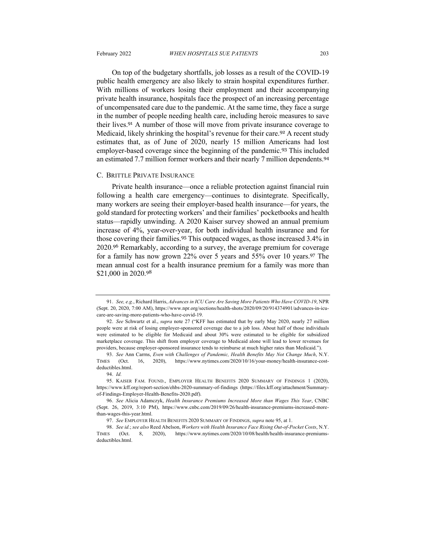On top of the budgetary shortfalls, job losses as a result of the COVID-19 public health emergency are also likely to strain hospital expenditures further. With millions of workers losing their employment and their accompanying private health insurance, hospitals face the prospect of an increasing percentage of uncompensated care due to the pandemic. At the same time, they face a surge in the number of people needing health care, including heroic measures to save their lives.<sup>91</sup> A number of those will move from private insurance coverage to Medicaid, likely shrinking the hospital's revenue for their care.<sup>92</sup> A recent study estimates that, as of June of 2020, nearly 15 million Americans had lost employer-based coverage since the beginning of the pandemic.<sup>93</sup> This included an estimated 7.7 million former workers and their nearly 7 million dependents.<sup>94</sup>

#### C. BRITTLE PRIVATE INSURANCE

Private health insurance—once a reliable protection against financial ruin following a health care emergency—continues to disintegrate. Specifically, many workers are seeing their employer-based health insurance—for years, the gold standard for protecting workers' and their families' pocketbooks and health status—rapidly unwinding. A 2020 Kaiser survey showed an annual premium increase of 4%, year-over-year, for both individual health insurance and for those covering their families.<sup>95</sup> This outpaced wages, as those increased 3.4% in 2020.<sup>96</sup> Remarkably, according to a survey, the average premium for coverage for a family has now grown 22% over 5 years and 55% over 10 years.<sup>97</sup> The mean annual cost for a health insurance premium for a family was more than \$21,000 in 2020.98

<sup>91.</sup> *See, e.g.*, Richard Harris, *Advances in ICU Care Are Saving More Patients Who Have COVID-19*, NPR (Sept. 20, 2020, 7:00 AM), https://www.npr.org/sections/health-shots/2020/09/20/914374901/advances-in-icucare-are-saving-more-patients-who-have-covid-19.

<sup>92.</sup> *See* Schwartz et al., *supra* note 27 ("KFF has estimated that by early May 2020, nearly 27 million people were at risk of losing employer-sponsored coverage due to a job loss. About half of those individuals were estimated to be eligible for Medicaid and about 30% were estimated to be eligible for subsidized marketplace coverage. This shift from employer coverage to Medicaid alone will lead to lower revenues for providers, because employer-sponsored insurance tends to reimburse at much higher rates than Medicaid.").

<sup>93.</sup> *See* Ann Carrns, *Even with Challenges of Pandemic, Health Benefits May Not Change Much*, N.Y. TIMES (Oct. 16, 2020), https://www.nytimes.com/2020/10/16/your-money/health-insurance-costdeductibles.html.

<sup>94.</sup> *Id.*

<sup>95.</sup> KAISER FAM. FOUND., EMPLOYER HEALTH BENEFITS 2020 SUMMARY OF FINDINGS 1 (2020), https://www.kff.org/report-section/ehbs-2020-summary-of-findings (https://files.kff.org/attachment/Summaryof-Findings-Employer-Health-Benefits-2020.pdf).

<sup>96.</sup> *See* Alicia Adamczyk, *Health Insurance Premiums Increased More than Wages This Year*, CNBC (Sept. 26, 2019, 3:10 PM), https://www.cnbc.com/2019/09/26/health-insurance-premiums-increased-morethan-wages-this-year.html.

<sup>97.</sup> *See* EMPLOYER HEALTH BENEFITS 2020 SUMMARY OF FINDINGS, *supra* note 95, at 1.

<sup>98.</sup> *See id.*; *see also* Reed Abelson, *Workers with Health Insurance Face Rising Out-of-Pocket Costs*, N.Y. TIMES (Oct. 8, 2020), https://www.nytimes.com/2020/10/08/health/health-insurance-premiumsdeductibles.html.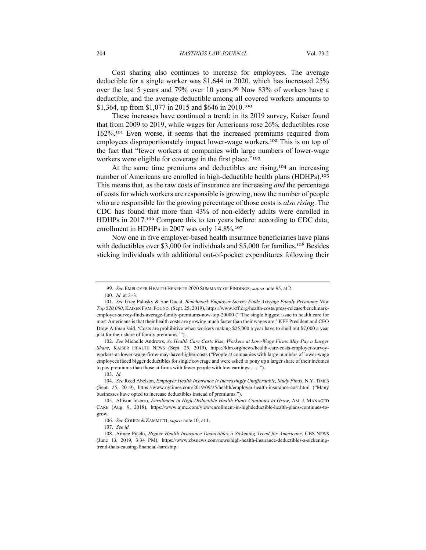Cost sharing also continues to increase for employees. The average deductible for a single worker was \$1,644 in 2020, which has increased 25% over the last 5 years and 79% over 10 years.<sup>99</sup> Now 83% of workers have a deductible, and the average deductible among all covered workers amounts to \$1,364, up from \$1,077 in 2015 and \$646 in 2010.<sup>100</sup>

These increases have continued a trend: in its 2019 survey, Kaiser found that from 2009 to 2019, while wages for Americans rose 26%, deductibles rose 162%. <sup>101</sup> Even worse, it seems that the increased premiums required from employees disproportionately impact lower-wage workers.<sup>102</sup> This is on top of the fact that "fewer workers at companies with large numbers of lower-wage workers were eligible for coverage in the first place."<sup>103</sup>

At the same time premiums and deductibles are rising,<sup>104</sup> an increasing number of Americans are enrolled in high-deductible health plans (HDHPs).<sup>105</sup> This means that, as the raw costs of insurance are increasing *and* the percentage of costs for which workers are responsible is growing, now the number of people who are responsible for the growing percentage of those costs is *also rising*. The CDC has found that more than 43% of non-elderly adults were enrolled in HDHPs in 2017.<sup>106</sup> Compare this to ten years before: according to CDC data, enrollment in HDHPs in 2007 was only 14.8%.<sup>107</sup>

Now one in five employer-based health insurance beneficiaries have plans with deductibles over \$3,000 for individuals and \$5,000 for families.<sup>108</sup> Besides sticking individuals with additional out-of-pocket expenditures following their

102. *See* Michelle Andrews, *As Health Care Costs Rise, Workers at Low-Wage Firms May Pay a Larger Share*, KAISER HEALTH NEWS (Sept. 25, 2019), https://khn.org/news/health-care-costs-employer-surveyworkers-at-lower-wage-firms-may-have-higher-costs ("People at companies with large numbers of lower-wage employees faced bigger deductibles for single coverage and were asked to pony up a larger share of their incomes to pay premiums than those at firms with fewer people with low earnings . . . .").

103. *Id.*

104. *See* Reed Abelson, *Employer Health Insurance Is Increasingly Unaffordable, Study Finds*, N.Y. TIMES (Sept. 25, 2019), https://www.nytimes.com/2019/09/25/health/employer-health-insurance-cost.html ("Many businesses have opted to increase deductibles instead of premiums.").

<sup>99.</sup> *See* EMPLOYER HEALTH BENEFITS 2020 SUMMARY OF FINDINGS, *supra* note 95, at 2. 100. *Id.* at 2–3.

<sup>101.</sup> *See* Greg Palosky & Sue Ducat, *Benchmark Employer Survey Finds Average Family Premiums Now Top \$20,000*, KAISER FAM. FOUND. (Sept. 25, 2019), https://www.kff.org/health-costs/press-release/benchmarkemployer-survey-finds-average-family-premiums-now-top-20000 ("'The single biggest issue in health care for most Americans is that their health costs are growing much faster than their wages are,' KFF President and CEO Drew Altman said. 'Costs are prohibitive when workers making \$25,000 a year have to shell out \$7,000 a year just for their share of family premiums.'").

<sup>105.</sup> Allison Inserro, *Enrollment in High-Deductible Health Plans Continues to Grow*, AM. J. MANAGED CARE (Aug. 9, 2018), https://www.ajmc.com/view/enrollment-in-highdeductible-health-plans-continues-togrow.

<sup>106.</sup> *See* COHEN & ZAMMITTI, *supra* note 10, at 1.

<sup>107.</sup> *See id.*

<sup>108.</sup> Aimee Picchi, *Higher Health Insurance Deductibles a Sickening Trend for Americans*, CBS NEWS (June 13, 2019, 3:34 PM), https://www.cbsnews.com/news/high-health-insurance-deductibles-a-sickeningtrend-thats-causing-financial-hardship.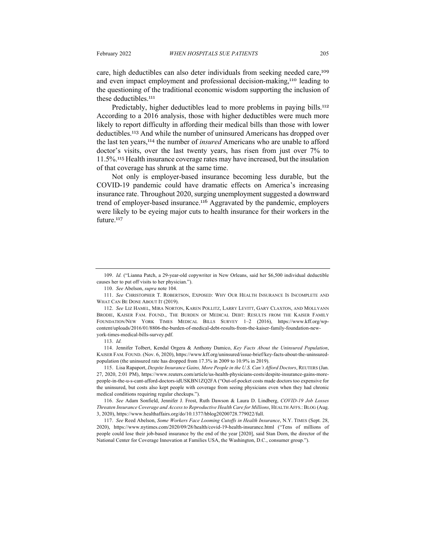care, high deductibles can also deter individuals from seeking needed care,<sup>109</sup> and even impact employment and professional decision-making,<sup>110</sup> leading to the questioning of the traditional economic wisdom supporting the inclusion of these deductibles.<sup>111</sup>

Predictably, higher deductibles lead to more problems in paying bills.<sup>112</sup> According to a 2016 analysis, those with higher deductibles were much more likely to report difficulty in affording their medical bills than those with lower deductibles. <sup>113</sup> And while the number of uninsured Americans has dropped over the last ten years,<sup>114</sup> the number of *insured* Americans who are unable to afford doctor's visits, over the last twenty years, has risen from just over 7% to 11.5%. <sup>115</sup> Health insurance coverage rates may have increased, but the insulation of that coverage has shrunk at the same time.

Not only is employer-based insurance becoming less durable, but the COVID-19 pandemic could have dramatic effects on America's increasing insurance rate. Throughout 2020, surging unemployment suggested a downward trend of employer-based insurance.<sup>116</sup> Aggravated by the pandemic, employers were likely to be eyeing major cuts to health insurance for their workers in the future.<sup>117</sup>

114. Jennifer Tolbert, Kendal Orgera & Anthony Damico, *Key Facts About the Uninsured Population*, KAISER FAM. FOUND. (Nov. 6, 2020), https://www.kff.org/uninsured/issue-brief/key-facts-about-the-uninsuredpopulation (the uninsured rate has dropped from 17.3% in 2009 to 10.9% in 2019).

115. Lisa Rapaport, *Despite Insurance Gains, More People in the U.S. Can't Afford Doctors*, REUTERS (Jan. 27, 2020, 2:01 PM), https://www.reuters.com/article/us-health-physicians-costs/despite-insurance-gains-morepeople-in-the-u-s-cant-afford-doctors-idUSKBN1ZQ2FA ("Out-of-pocket costs made doctors too expensive for the uninsured, but costs also kept people with coverage from seeing physicians even when they had chronic medical conditions requiring regular checkups.").

116. *See* Adam Sonfield, Jennifer J. Frost, Ruth Dawson & Laura D. Lindberg, *COVID-19 Job Losses Threaten Insurance Coverage and Access to Reproductive Health Care for Millions*, HEALTH AFFS.: BLOG (Aug. 3, 2020), https://www.healthaffairs.org/do/10.1377/hblog20200728.779022/full.

117. *See* Reed Abelson, *Some Workers Face Looming Cutoffs in Health Insurance*, N.Y. TIMES (Sept. 28, 2020), https://www.nytimes.com/2020/09/28/health/covid-19-health-insurance.html ("Tens of millions of people could lose their job-based insurance by the end of the year [2020], said Stan Dorn, the director of the National Center for Coverage Innovation at Families USA, the Washington, D.C., consumer group.").

<sup>109.</sup> *Id.* ("Lianna Patch, a 29-year-old copywriter in New Orleans, said her \$6,500 individual deductible causes her to put off visits to her physician.").

<sup>110.</sup> *See* Abelson, *supra* note 104.

<sup>111.</sup> *See* CHRISTOPHER T. ROBERTSON, EXPOSED: WHY OUR HEALTH INSURANCE IS INCOMPLETE AND WHAT CAN BE DONE ABOUT IT (2019).

<sup>112.</sup> *See* LIZ HAMEL, MIRA NORTON, KAREN POLLITZ, LARRY LEVITT, GARY CLAXTON, AND MOLLYANN BRODIE, KAISER FAM. FOUND., THE BURDEN OF MEDICAL DEBT: RESULTS FROM THE KAISER FAMILY FOUNDATION/NEW YORK TIMES MEDICAL BILLS SURVEY 1–2 (2016), https://www.kff.org/wpcontent/uploads/2016/01/8806-the-burden-of-medical-debt-results-from-the-kaiser-family-foundation-newyork-times-medical-bills-survey.pdf.

<sup>113.</sup> *Id.*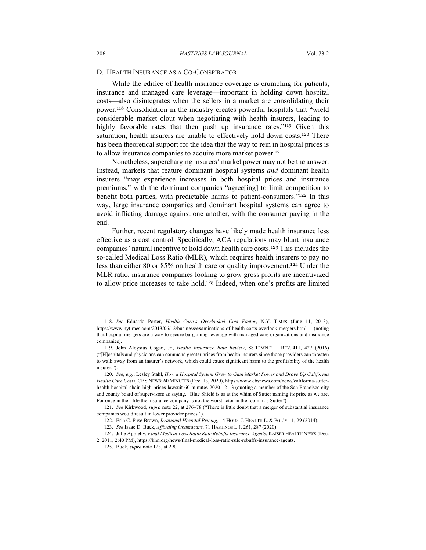# D. HEALTH INSURANCE AS A CO-CONSPIRATOR

While the edifice of health insurance coverage is crumbling for patients, insurance and managed care leverage—important in holding down hospital costs—also disintegrates when the sellers in a market are consolidating their power.<sup>118</sup> Consolidation in the industry creates powerful hospitals that "wield considerable market clout when negotiating with health insurers, leading to highly favorable rates that then push up insurance rates."<sup>119</sup> Given this saturation, health insurers are unable to effectively hold down costs.<sup>120</sup> There has been theoretical support for the idea that the way to rein in hospital prices is to allow insurance companies to acquire more market power.<sup>121</sup>

Nonetheless, supercharging insurers' market power may not be the answer. Instead, markets that feature dominant hospital systems *and* dominant health insurers "may experience increases in both hospital prices and insurance premiums," with the dominant companies "agree[ing] to limit competition to benefit both parties, with predictable harms to patient-consumers."<sup>122</sup> In this way, large insurance companies and dominant hospital systems can agree to avoid inflicting damage against one another, with the consumer paying in the end.

Further, recent regulatory changes have likely made health insurance less effective as a cost control. Specifically, ACA regulations may blunt insurance companies' natural incentive to hold down health care costs.<sup>123</sup> This includes the so-called Medical Loss Ratio (MLR), which requires health insurers to pay no less than either 80 or 85% on health care or quality improvement.<sup>124</sup> Under the MLR ratio, insurance companies looking to grow gross profits are incentivized to allow price increases to take hold.<sup>125</sup> Indeed, when one's profits are limited

121. *See* Kirkwood, *supra* note 22, at 276–78 ("There is little doubt that a merger of substantial insurance companies would result in lower provider prices.").

<sup>118.</sup> *See* Eduardo Porter, *Health Care's Overlooked Cost Factor*, N.Y. TIMES (June 11, 2013), https://www.nytimes.com/2013/06/12/business/examinations-of-health-costs-overlook-mergers.html (noting that hospital mergers are a way to secure bargaining leverage with managed care organizations and insurance companies).

<sup>119.</sup> John Aloysius Cogan, Jr., *Health Insurance Rate Review*, 88 TEMPLE L. REV. 411, 427 (2016) ("[H]ospitals and physicians can command greater prices from health insurers since those providers can threaten to walk away from an insurer's network, which could cause significant harm to the profitability of the health insurer.").

<sup>120.</sup> *See, e.g.*, Lesley Stahl, *How a Hospital System Grew to Gain Market Power and Drove Up California Health Care Costs*, CBS NEWS: 60 MINUTES (Dec. 13, 2020), https://www.cbsnews.com/news/california-sutterhealth-hospital-chain-high-prices-lawsuit-60-minutes-2020-12-13 (quoting a member of the San Francisco city and county board of supervisors as saying, "Blue Shield is as at the whim of Sutter naming its price as we are. For once in their life the insurance company is not the worst actor in the room, it's Sutter").

<sup>122.</sup> Erin C. Fuse Brown, *Irrational Hospital Pricing*, 14 HOUS. J. HEALTH L. & POL'Y 11, 29 (2014).

<sup>123.</sup> *See* Isaac D. Buck, *Affording Obamacare*, 71 HASTINGS L.J. 261, 287 (2020).

<sup>124.</sup> Julie Appleby, *Final Medical Loss Ratio Rule Rebuffs Insurance Agents*, KAISER HEALTH NEWS (Dec.

<sup>2, 2011, 2:40</sup> PM), https://khn.org/news/final-medical-loss-ratio-rule-rebuffs-insurance-agents.

<sup>125.</sup> Buck, *supra* note 123, at 290.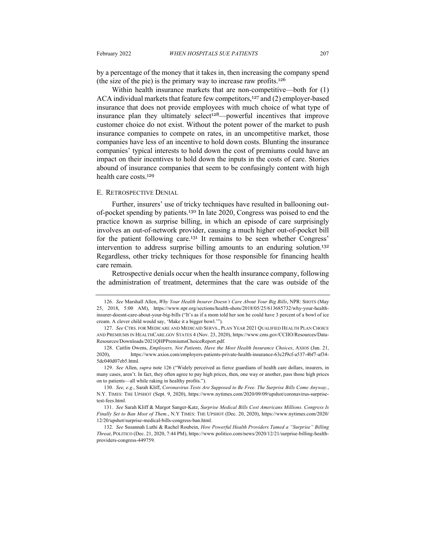by a percentage of the money that it takes in, then increasing the company spend (the size of the pie) is the primary way to increase raw profits.<sup>126</sup>

Within health insurance markets that are non-competitive—both for (1) ACA individual markets that feature few competitors,<sup>127</sup> and (2) employer-based insurance that does not provide employees with much choice of what type of insurance plan they ultimately select<sup>128</sup>—powerful incentives that improve customer choice do not exist. Without the potent power of the market to push insurance companies to compete on rates, in an uncompetitive market, those companies have less of an incentive to hold down costs. Blunting the insurance companies' typical interests to hold down the cost of premiums could have an impact on their incentives to hold down the inputs in the costs of care. Stories abound of insurance companies that seem to be confusingly content with high health care costs.<sup>129</sup>

#### E. RETROSPECTIVE DENIAL

Further, insurers' use of tricky techniques have resulted in ballooning outof-pocket spending by patients.<sup>130</sup> In late 2020, Congress was poised to end the practice known as surprise billing, in which an episode of care surprisingly involves an out-of-network provider, causing a much higher out-of-pocket bill for the patient following care.<sup>131</sup> It remains to be seen whether Congress' intervention to address surprise billing amounts to an enduring solution.<sup>132</sup> Regardless, other tricky techniques for those responsible for financing health care remain.

Retrospective denials occur when the health insurance company, following the administration of treatment, determines that the care was outside of the

<sup>126.</sup> *See* Marshall Allen, *Why Your Health Insurer Doesn't Care About Your Big Bills*, NPR: SHOTS (May 25, 2018, 5:00 AM), https://www.npr.org/sections/health-shots/2018/05/25/613685732/why-your-healthinsurer-doesnt-care-about-your-big-bills ("It's as if a mom told her son he could have 3 percent of a bowl of ice cream. A clever child would say, 'Make it a bigger bowl.'").

<sup>127.</sup> *See* CTRS. FOR MEDICARE AND MEDICAID SERVS., PLAN YEAR 2021 QUALIFIED HEALTH PLAN CHOICE AND PREMIUMS IN HEALTHCARE.GOV STATES 4 (Nov. 23, 2020), https://www.cms.gov/CCIIO/Resources/Data-Resources/Downloads/2021QHPPremiumsChoiceReport.pdf.

<sup>128.</sup> Caitlin Owens, *Employers, Not Patients, Have the Most Health Insurance Choices*, AXIOS (Jan. 21, 2020), https://www.axios.com/employers-patients-private-health-insurance-63c2f9cf-a537-4bf7-af34- 5dc040d07eb5.html.

<sup>129.</sup> *See* Allen, *supra* note 126 ("Widely perceived as fierce guardians of health care dollars, insurers, in many cases, aren't. In fact, they often agree to pay high prices, then, one way or another, pass those high prices on to patients—all while raking in healthy profits.").

<sup>130.</sup> *See, e.g.*, Sarah Kliff, *Coronavirus Tests Are Supposed to Be Free. The Surprise Bills Come Anyway.*, N.Y. TIMES: THE UPSHOT (Sept. 9, 2020), https://www.nytimes.com/2020/09/09/upshot/coronavirus-surprisetest-fees.html.

<sup>131.</sup> *See* Sarah Kliff & Margot Sanger-Katz, *Surprise Medical Bills Cost Americans Millions. Congress Is Finally Set to Ban Most of Them.*, N.Y TIMES: THE UPSHOT (Dec. 20, 2020), https://www.nytimes.com/2020/ 12/20/upshot/surprise-medical-bills-congress-ban.html.

<sup>132.</sup> *See* Susannah Luthi & Rachel Roubein, *How Powerful Health Providers Tamed a "Surprise" Billing Threat*, POLITICO (Dec. 21, 2020, 7:44 PM), https://www.politico.com/news/2020/12/21/surprise-billing-healthproviders-congress-449759.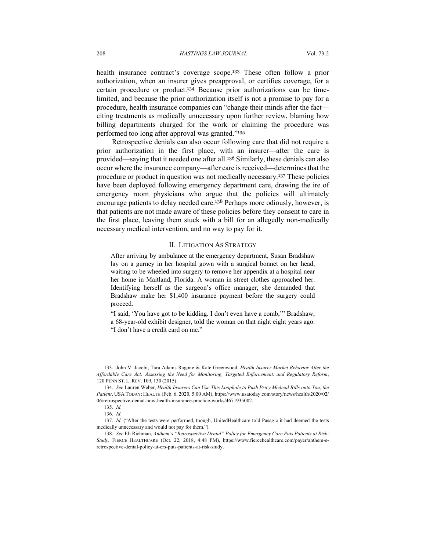health insurance contract's coverage scope.<sup>133</sup> These often follow a prior authorization, when an insurer gives preapproval, or certifies coverage, for a certain procedure or product.<sup>134</sup> Because prior authorizations can be timelimited, and because the prior authorization itself is not a promise to pay for a procedure, health insurance companies can "change their minds after the fact citing treatments as medically unnecessary upon further review, blaming how billing departments charged for the work or claiming the procedure was performed too long after approval was granted."<sup>135</sup>

Retrospective denials can also occur following care that did not require a prior authorization in the first place, with an insurer—after the care is provided—saying that it needed one after all.<sup>136</sup> Similarly, these denials can also occur where the insurance company—after care is received—determines that the procedure or product in question was not medically necessary.<sup>137</sup> These policies have been deployed following emergency department care, drawing the ire of emergency room physicians who argue that the policies will ultimately encourage patients to delay needed care.<sup>138</sup> Perhaps more odiously, however, is that patients are not made aware of these policies before they consent to care in the first place, leaving them stuck with a bill for an allegedly non-medically necessary medical intervention, and no way to pay for it.

#### II. LITIGATION AS STRATEGY

After arriving by ambulance at the emergency department, Susan Bradshaw lay on a gurney in her hospital gown with a surgical bonnet on her head, waiting to be wheeled into surgery to remove her appendix at a hospital near her home in Maitland, Florida. A woman in street clothes approached her. Identifying herself as the surgeon's office manager, she demanded that Bradshaw make her \$1,400 insurance payment before the surgery could proceed.

"I said, 'You have got to be kidding. I don't even have a comb,'" Bradshaw, a 68-year-old exhibit designer, told the woman on that night eight years ago. "I don't have a credit card on me."

<sup>133.</sup> John V. Jacobi, Tara Adams Ragone & Kate Greenwood, *Health Insurer Market Behavior After the Affordable Care Act: Assessing the Need for Monitoring, Targeted Enforcement, and Regulatory Reform*, 120 PENN ST. L. REV. 109, 130 (2015).

<sup>134.</sup> *See* Lauren Weber, *Health Insurers Can Use This Loophole to Push Pricy Medical Bills onto You, the Patient*, USA TODAY: HEALTH (Feb. 6, 2020, 5:00 AM), https://www.usatoday.com/story/news/health/2020/02/ 06/retrospective-denial-how-health-insurance-practice-works/4671935002.

<sup>135.</sup> *Id.*

<sup>136.</sup> *Id.*

<sup>137.</sup> *Id.* ("After the tests were performed, though, UnitedHealthcare told Pasagic it had deemed the tests medically unnecessary and would not pay for them.").

<sup>138.</sup> *See* Eli Richman, *Anthem's "Retrospective Denial" Policy for Emergency Care Puts Patients at Risk: Study*, FIERCE HEALTHCARE (Oct. 22, 2018, 4:48 PM), https://www.fiercehealthcare.com/payer/anthem-sretrospective-denial-policy-at-ers-puts-patients-at-risk-study.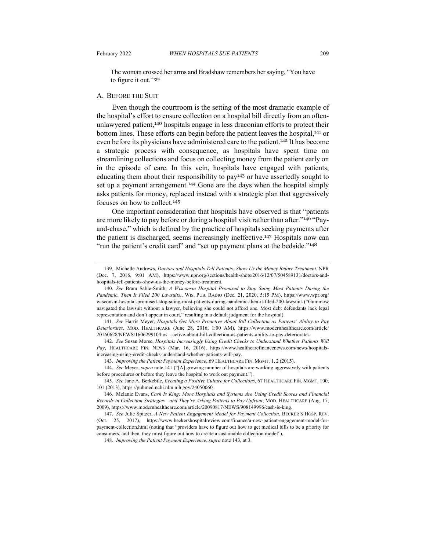The woman crossed her arms and Bradshaw remembers her saying, "You have to figure it out."<sup>139</sup>

#### A. BEFORE THE SUIT

Even though the courtroom is the setting of the most dramatic example of the hospital's effort to ensure collection on a hospital bill directly from an oftenunlawyered patient,<sup>140</sup> hospitals engage in less draconian efforts to protect their bottom lines. These efforts can begin before the patient leaves the hospital,<sup>141</sup> or even before its physicians have administered care to the patient.<sup>142</sup> It has become a strategic process with consequence, as hospitals have spent time on streamlining collections and focus on collecting money from the patient early on in the episode of care. In this vein, hospitals have engaged with patients, educating them about their responsibility to pay<sup>143</sup> or have assertedly sought to set up a payment arrangement.<sup>144</sup> Gone are the days when the hospital simply asks patients for money, replaced instead with a strategic plan that aggressively focuses on how to collect.<sup>145</sup>

One important consideration that hospitals have observed is that "patients are more likely to pay before or during a hospital visit rather than after."<sup>146</sup> "Payand-chase," which is defined by the practice of hospitals seeking payments after the patient is discharged, seems increasingly ineffective.<sup>147</sup> Hospitals now can "run the patient's credit card" and "set up payment plans at the bedside."<sup>148</sup>

143. *Improving the Patient Payment Experience*, 69 HEALTHCARE FIN. MGMT. 1, 2 (2015).

144. *See* Meyer, *supra* note 141 ("[A] growing number of hospitals are working aggressively with patients before procedures or before they leave the hospital to work out payment.").

148. *Improving the Patient Payment Experience*, *supra* note 143, at 3.

<sup>139.</sup> Michelle Andrews, *Doctors and Hospitals Tell Patients: Show Us the Money Before Treatment*, NPR (Dec. 7, 2016, 9:01 AM), https://www.npr.org/sections/health-shots/2016/12/07/504589131/doctors-andhospitals-tell-patients-show-us-the-money-before-treatment.

<sup>140.</sup> *See* Bram Sable-Smith, *A Wisconsin Hospital Promised to Stop Suing Most Patients During the Pandemic. Then It Filed 200 Lawsuits*., WIS. PUB. RADIO (Dec. 21, 2020, 5:15 PM), https://www.wpr.org/ wisconsin-hospital-promised-stop-suing-most-patients-during-pandemic-then-it-filed-200-lawsuits ("Gummow navigated the lawsuit without a lawyer, believing she could not afford one. Most debt defendants lack legal representation and don't appear in court," resulting in a default judgment for the hospital).

<sup>141.</sup> *See* Harris Meyer, *Hospitals Get More Proactive About Bill Collection as Patients' Ability to Pay Deteriorates*, MOD. HEALTHCARE (June 28, 2016, 1:00 AM), https://www.modernhealthcare.com/article/ 20160628/NEWS/160629910/hos…active-about-bill-collection-as-patients-ability-to-pay-deteriorates.

<sup>142.</sup> *See* Susan Morse, *Hospitals Increasingly Using Credit Checks to Understand Whether Patients Will Pay*, HEALTHCARE FIN. NEWS (Mar. 16, 2016), https://www.healthcarefinancenews.com/news/hospitalsincreasing-using-credit-checks-understand-whether-patients-will-pay.

<sup>145.</sup> *See* Jane A. Berkebile, *Creating a Positive Culture for Collections*, 67 HEALTHCARE FIN. MGMT. 100, 101 (2013), https://pubmed.ncbi.nlm.nih.gov/24050060.

<sup>146.</sup> Melanie Evans, *Cash Is King: More Hospitals and Systems Are Using Credit Scores and Financial Records in Collection Strategies—and They're Asking Patients to Pay Upfront*, MOD. HEALTHCARE (Aug. 17, 2009), https://www.modernhealthcare.com/article/20090817/NEWS/908149996/cash-is-king.

<sup>147.</sup> *See* Julie Spitzer, *A New Patient Engagement Model for Payment Collection*, BECKER'S HOSP. REV. (Oct. 25, 2017), https://www.beckershospitalreview.com/finance/a-new-patient-engagement-model-forpayment-collection.html (noting that "providers have to figure out how to get medical bills to be a priority for consumers, and then, they must figure out how to create a sustainable collection model").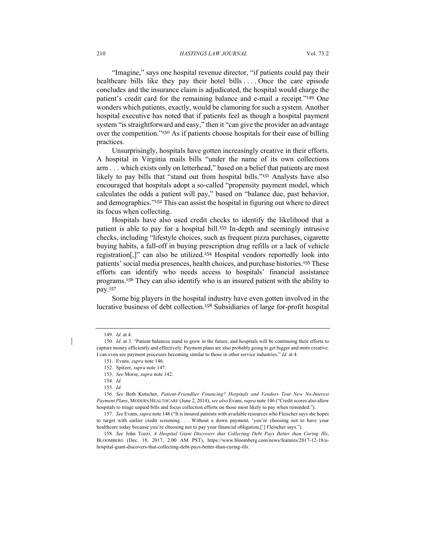"Imagine," says one hospital revenue director, "if patients could pay their healthcare bills like they pay their hotel bills  $\dots$ . Once the care episode concludes and the insurance claim is adjudicated, the hospital would charge the patient's credit card for the remaining balance and e-mail a receipt."<sup>149</sup> One wonders which patients, exactly, would be clamoring for such a system. Another hospital executive has noted that if patients feel as though a hospital payment system "is straightforward and easy," then it "can give the provider an advantage over the competition."<sup>150</sup> As if patients choose hospitals for their ease of billing practices.

Unsurprisingly, hospitals have gotten increasingly creative in their efforts. A hospital in Virginia mails bills "under the name of its own collections arm . . . which exists only on letterhead," based on a belief that patients are most likely to pay bills that "stand out from hospital bills."<sup>151</sup> Analysts have also encouraged that hospitals adopt a so-called "propensity payment model, which calculates the odds a patient will pay," based on "balance due, past behavior, and demographics."<sup>152</sup> This can assist the hospital in figuring out where to direct its focus when collecting.

Hospitals have also used credit checks to identify the likelihood that a patient is able to pay for a hospital bill.<sup>153</sup> In-depth and seemingly intrusive checks, including "lifestyle choices, such as frequent pizza purchases, cigarette buying habits, a fall-off in buying prescription drug refills or a lack of vehicle registration[,]" can also be utilized.<sup>154</sup> Hospital vendors reportedly look into patients' social media presences, health choices, and purchase histories.<sup>155</sup> These efforts can identify who needs access to hospitals' financial assistance programs.<sup>156</sup> They can also identify who is an insured patient with the ability to pay.<sup>157</sup>

Some big players in the hospital industry have even gotten involved in the lucrative business of debt collection.<sup>158</sup> Subsidiaries of large for-profit hospital

<sup>149.</sup> *Id.* at 4.

<sup>150.</sup> *Id.* at 3. "Patient balances stand to grow in the future, and hospitals will be continuing their efforts to capture money efficiently and effectively. Payment plans are also probably going to get bigger and more creative. I can even see payment processes becoming similar to those in other service industries." *Id.* at 4.

<sup>151.</sup> Evans, *supra* note 146.

<sup>152.</sup> Spitzer, *supra* note 147.

<sup>153.</sup> *See* Morse, *supra* note 142.

<sup>154.</sup> *Id.*

<sup>155.</sup> *Id.*

<sup>156.</sup> *See* Beth Kutscher, *Patient-Friendlier Financing? Hospitals and Vendors Tout New No-Interest Payment Plans*, MODERN HEALTHCARE (June 2, 2014); *see also* Evans, *supra* note 146 ("Credit scores also allow hospitals to triage unpaid bills and focus collection efforts on those most likely to pay when reminded.").

<sup>157.</sup> *See* Evans, *supra* note 146 ("It is insured patients with available resources who Fleischer says she hopes to target with earlier credit screening . . . . Without a down payment, 'you're choosing not to have your healthcare today because you're choosing not to pay your financial obligation,['] Fleischer says.").

<sup>158.</sup> *See* John Tozzi, *A Hospital Giant Discovers that Collecting Debt Pays Better than Curing Ills*, BLOOMBERG (Dec. 18, 2017, 2:00 AM PST), https://www.bloomberg.com/news/features/2017-12-18/ahospital-giant-discovers-that-collecting-debt-pays-better-than-curing-ills.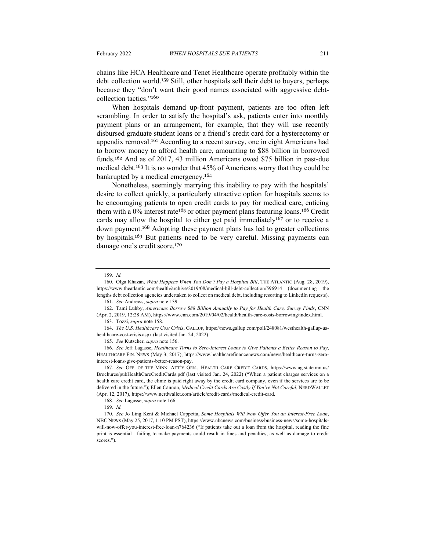chains like HCA Healthcare and Tenet Healthcare operate profitably within the debt collection world.<sup>159</sup> Still, other hospitals sell their debt to buyers, perhaps because they "don't want their good names associated with aggressive debtcollection tactics."<sup>160</sup>

When hospitals demand up-front payment, patients are too often left scrambling. In order to satisfy the hospital's ask, patients enter into monthly payment plans or an arrangement, for example, that they will use recently disbursed graduate student loans or a friend's credit card for a hysterectomy or appendix removal.<sup>161</sup> According to a recent survey, one in eight Americans had to borrow money to afford health care, amounting to \$88 billion in borrowed funds.<sup>162</sup> And as of 2017, 43 million Americans owed \$75 billion in past-due medical debt.<sup>163</sup> It is no wonder that 45% of Americans worry that they could be bankrupted by a medical emergency.<sup>164</sup>

Nonetheless, seemingly marrying this inability to pay with the hospitals' desire to collect quickly, a particularly attractive option for hospitals seems to be encouraging patients to open credit cards to pay for medical care, enticing them with a  $0\%$  interest rate<sup>165</sup> or other payment plans featuring loans.<sup>166</sup> Credit cards may allow the hospital to either get paid immediately<sup>167</sup> or to receive a down payment.<sup>168</sup> Adopting these payment plans has led to greater collections by hospitals.<sup>169</sup> But patients need to be very careful. Missing payments can damage one's credit score.<sup>170</sup>

<sup>159.</sup> *Id.*

<sup>160.</sup> Olga Khazan, *What Happens When You Don't Pay a Hospital Bill*, THE ATLANTIC (Aug. 28, 2019), https://www.theatlantic.com/health/archive/2019/08/medical-bill-debt-collection/596914 (documenting the lengths debt collection agencies undertaken to collect on medical debt, including resorting to LinkedIn requests).

<sup>161.</sup> *See* Andrews, *supra* note 139.

<sup>162.</sup> Tami Luhby, *Americans Borrow \$88 Billion Annually to Pay for Health Care, Survey Finds*, CNN (Apr. 2, 2019, 12:28 AM), https://www.cnn.com/2019/04/02/health/health-care-costs-borrowing/index.html.

<sup>163.</sup> Tozzi, *supra* note 158.

<sup>164.</sup> *The U.S. Healthcare Cost Crisis*, GALLUP, https://news.gallup.com/poll/248081/westhealth-gallup-ushealthcare-cost-crisis.aspx (last visited Jan. 24, 2022).

<sup>165.</sup> *See* Kutscher, *supra* note 156.

<sup>166.</sup> *See* Jeff Lagasse, *Healthcare Turns to Zero-Interest Loans to Give Patients a Better Reason to Pay*, HEALTHCARE FIN. NEWS (May 3, 2017), https://www.healthcarefinancenews.com/news/healthcare-turns-zerointerest-loans-give-patients-better-reason-pay.

<sup>167.</sup> *See* OFF. OF THE MINN. ATT'Y GEN., HEALTH CARE CREDIT CARDS, https://www.ag.state.mn.us/ Brochures/pubHealthCareCreditCards.pdf (last visited Jan. 24, 2022) ("When a patient charges services on a health care credit card, the clinic is paid right away by the credit card company, even if the services are to be delivered in the future."); Ellen Cannon, *Medical Credit Cards Are Costly If You're Not Careful*, NERDWALLET (Apr. 12, 2017), https://www.nerdwallet.com/article/credit-cards/medical-credit-card.

<sup>168.</sup> *See* Lagasse, *supra* note 166.

<sup>169.</sup> *Id.*

<sup>170.</sup> *See* Jo Ling Kent & Michael Cappetta, *Some Hospitals Will Now Offer You an Interest-Free Loan*, NBC NEWS (May 25, 2017, 1:10 PM PST), https://www.nbcnews.com/business/business-news/some-hospitalswill-now-offer-you-interest-free-loan-n764236 ("If patients take out a loan from the hospital, reading the fine print is essential—failing to make payments could result in fines and penalties, as well as damage to credit scores.").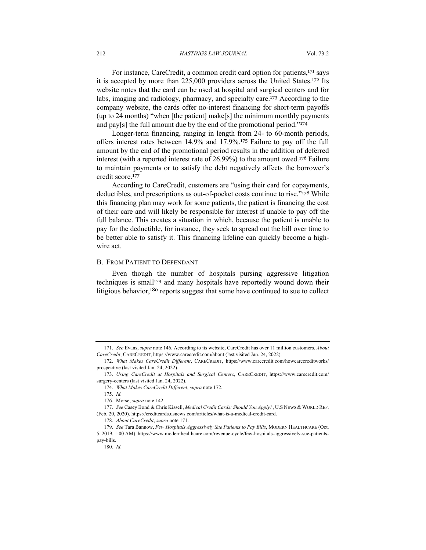212 *HASTINGS LAW JOURNAL* Vol. 73:2

For instance, CareCredit, a common credit card option for patients,<sup>171</sup> says it is accepted by more than 225,000 providers across the United States.<sup>172</sup> Its website notes that the card can be used at hospital and surgical centers and for labs, imaging and radiology, pharmacy, and specialty care.<sup>173</sup> According to the company website, the cards offer no-interest financing for short-term payoffs (up to 24 months) "when [the patient] make[s] the minimum monthly payments and pay[s] the full amount due by the end of the promotional period."<sup>174</sup>

Longer-term financing, ranging in length from 24- to 60-month periods, offers interest rates between 14.9% and 17.9%. <sup>175</sup> Failure to pay off the full amount by the end of the promotional period results in the addition of deferred interest (with a reported interest rate of 26.99%) to the amount owed.<sup>176</sup> Failure to maintain payments or to satisfy the debt negatively affects the borrower's credit score.<sup>177</sup>

According to CareCredit, customers are "using their card for copayments, deductibles, and prescriptions as out-of-pocket costs continue to rise."<sup>178</sup> While this financing plan may work for some patients, the patient is financing the cost of their care and will likely be responsible for interest if unable to pay off the full balance. This creates a situation in which, because the patient is unable to pay for the deductible, for instance, they seek to spread out the bill over time to be better able to satisfy it. This financing lifeline can quickly become a highwire act.

#### B. FROM PATIENT TO DEFENDANT

Even though the number of hospitals pursing aggressive litigation techniques is small<sup>179</sup> and many hospitals have reportedly wound down their litigious behavior,<sup>180</sup> reports suggest that some have continued to sue to collect

<sup>171.</sup> *See* Evans, *supra* note 146. According to its website, CareCredit has over 11 million customers. *About CareCredit*, CARECREDIT, https://www.carecredit.com/about (last visited Jan. 24, 2022).

<sup>172.</sup> *What Makes CareCredit Different*, CARECREDIT, https://www.carecredit.com/howcarecreditworks/ prospective (last visited Jan. 24, 2022).

<sup>173.</sup> *Using CareCredit at Hospitals and Surgical Centers*, CARECREDIT, https://www.carecredit.com/ surgery-centers (last visited Jan. 24, 2022).

<sup>174.</sup> *What Makes CareCredit Different*, *supra* note 172.

<sup>175.</sup> *Id.*

<sup>176.</sup> Morse, *supra* note 142*.*

<sup>177.</sup> *See* Casey Bond & Chris Kissell, *Medical Credit Cards: Should You Apply?*, U.S NEWS & WORLD REP. (Feb. 20, 2020), https://creditcards.usnews.com/articles/what-is-a-medical-credit-card.

<sup>178.</sup> *About CareCredit*, *supra* note 171.

<sup>179.</sup> *See* Tara Bannow, *Few Hospitals Aggressively Sue Patients to Pay Bills*, MODERN HEALTHCARE (Oct. 5, 2019, 1:00 AM), https://www.modernhealthcare.com/revenue-cycle/few-hospitals-aggressively-sue-patientspay-bills.

<sup>180.</sup> *Id.*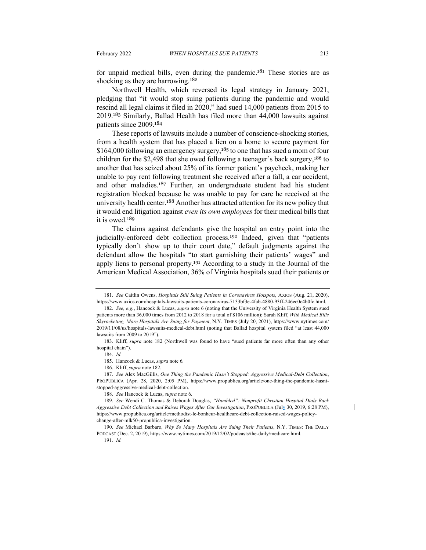for unpaid medical bills, even during the pandemic.<sup>181</sup> These stories are as shocking as they are harrowing.<sup>182</sup>

Northwell Health, which reversed its legal strategy in January 2021, pledging that "it would stop suing patients during the pandemic and would rescind all legal claims it filed in 2020," had sued 14,000 patients from 2015 to 2019.<sup>183</sup> Similarly, Ballad Health has filed more than 44,000 lawsuits against patients since 2009.<sup>184</sup>

These reports of lawsuits include a number of conscience-shocking stories, from a health system that has placed a lien on a home to secure payment for \$164,000 following an emergency surgery,<sup>185</sup> to one that has sued a mom of four children for the \$2,498 that she owed following a teenager's back surgery,<sup>186</sup> to another that has seized about 25% of its former patient's paycheck, making her unable to pay rent following treatment she received after a fall, a car accident, and other maladies.<sup>187</sup> Further, an undergraduate student had his student registration blocked because he was unable to pay for care he received at the university health center.<sup>188</sup> Another has attracted attention for its new policy that it would end litigation against *even its own employees* for their medical bills that it is owed.<sup>189</sup>

The claims against defendants give the hospital an entry point into the judicially-enforced debt collection process.<sup>190</sup> Indeed, given that "patients typically don't show up to their court date," default judgments against the defendant allow the hospitals "to start garnishing their patients' wages" and apply liens to personal property.<sup>191</sup> According to a study in the Journal of the American Medical Association, 36% of Virginia hospitals sued their patients or

187. *See* Alex MacGillis, *One Thing the Pandemic Hasn't Stopped: Aggressive Medical-Debt Collection*, PROPUBLICA (Apr. 28, 2020, 2:05 PM), https://www.propublica.org/article/one-thing-the-pandemic-hasntstopped-aggressive-medical-debt-collection.

<sup>181.</sup> *See* Caitlin Owens, *Hospitals Still Suing Patients in Coronavirus Hotspots*, AXIOS (Aug. 21, 2020), https://www.axios.com/hospitals-lawsuits-patients-coronavirus-7133bf3e-4fab-4880-93ff-246ec0c4b0fc.html.

<sup>182.</sup> *See, e.g.*, Hancock & Lucas, *supra* note 6 (noting that the University of Virginia Health System sued patients more than 36,000 times from 2012 to 2018 for a total of \$106 million); Sarah Kliff, *With Medical Bills Skyrocketing, More Hospitals Are Suing for Payment*, N.Y. TIMES (July 20, 2021), https://www.nytimes.com/ 2019/11/08/us/hospitals-lawsuits-medical-debt.html (noting that Ballad hospital system filed "at least 44,000 lawsuits from 2009 to 2019").

<sup>183.</sup> Kliff, *supra* note 182 (Northwell was found to have "sued patients far more often than any other hospital chain").

<sup>184.</sup> *Id.*

<sup>185.</sup> Hancock & Lucas, *supra* note 6*.*

<sup>186.</sup> Kliff, *supra* note 182.

<sup>188.</sup> *See* Hancock & Lucas, *supra* note 6.

<sup>189.</sup> *See* Wendi C. Thomas & Deborah Douglas, *"Humbled": Nonprofit Christian Hospital Dials Back Aggressive Debt Collection and Raises Wages After Our Investigation*, PROPUBLICA (July 30, 2019, 6:28 PM), https://www.propublica.org/article/methodist-le-bonheur-healthcare-debt-collection-raised-wages-policychange-after-mlk50-propublica-investigation.

<sup>190.</sup> *See* Michael Barbaro, *Why So Many Hospitals Are Suing Their Patients*, N.Y. TIMES: THE DAILY PODCAST (Dec. 2, 2019), https://www.nytimes.com/2019/12/02/podcasts/the-daily/medicare.html. 191. *Id.*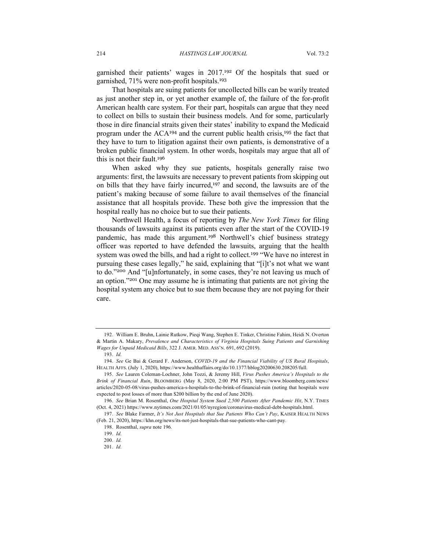garnished their patients' wages in 2017.<sup>192</sup> Of the hospitals that sued or garnished, 71% were non-profit hospitals.<sup>193</sup>

That hospitals are suing patients for uncollected bills can be warily treated as just another step in, or yet another example of, the failure of the for-profit American health care system. For their part, hospitals can argue that they need to collect on bills to sustain their business models. And for some, particularly those in dire financial straits given their states' inability to expand the Medicaid program under the ACA<sup>194</sup> and the current public health crisis,<sup>195</sup> the fact that they have to turn to litigation against their own patients, is demonstrative of a broken public financial system. In other words, hospitals may argue that all of this is not their fault.<sup>196</sup>

When asked why they sue patients, hospitals generally raise two arguments: first, the lawsuits are necessary to prevent patients from skipping out on bills that they have fairly incurred,<sup>197</sup> and second, the lawsuits are of the patient's making because of some failure to avail themselves of the financial assistance that all hospitals provide. These both give the impression that the hospital really has no choice but to sue their patients.

Northwell Health, a focus of reporting by *The New York Times* for filing thousands of lawsuits against its patients even after the start of the COVID-19 pandemic, has made this argument.<sup>198</sup> Northwell's chief business strategy officer was reported to have defended the lawsuits, arguing that the health system was owed the bills, and had a right to collect.<sup>199</sup> "We have no interest in pursuing these cases legally," he said, explaining that "[i]t's not what we want to do."<sup>200</sup> And "[u]nfortunately, in some cases, they're not leaving us much of an option."<sup>201</sup> One may assume he is intimating that patients are not giving the hospital system any choice but to sue them because they are not paying for their care.

<sup>192.</sup> William E. Bruhn, Lainie Rutkow, Pieqi Wang, Stephen E. Tinker, Christine Fahim, Heidi N. Overton & Martin A. Makary, *Prevalence and Characteristics of Virginia Hospitals Suing Patients and Garnishing Wages for Unpaid Medicaid Bills*, 322 J. AMER. MED. ASS'N. 691, 692 (2019).

<sup>193.</sup> *Id.*

<sup>194.</sup> *See* Ge Bai & Gerard F. Anderson, *COVID-19 and the Financial Viability of US Rural Hospitals*, HEALTH AFFS. (July 1, 2020), https://www.healthaffairs.org/do/10.1377/hblog20200630.208205/full.

<sup>195.</sup> *See* Lauren Coleman-Lochner, John Tozzi, & Jeremy Hill, *Virus Pushes America's Hospitals to the Brink of Financial Ruin*, BLOOMBERG (May 8, 2020, 2:00 PM PST), https://www.bloomberg.com/news/ articles/2020-05-08/virus-pushes-america-s-hospitals-to-the-brink-of-financial-ruin (noting that hospitals were expected to post losses of more than \$200 billion by the end of June 2020).

<sup>196.</sup> *See* Brian M. Rosenthal, *One Hospital System Sued 2,500 Patients After Pandemic Hit*, N.Y. TIMES (Oct. 4, 2021) https://www.nytimes.com/2021/01/05/nyregion/coronavirus-medical-debt-hospitals.html.

<sup>197.</sup> *See* Blake Farmer, *It's Not Just Hospitals that Sue Patients Who Can't Pay*, KAISER HEALTH NEWS (Feb. 21, 2020), https://khn.org/news/its-not-just-hospitals-that-sue-patients-who-cant-pay.

<sup>198.</sup> Rosenthal, *supra* note 196*.*

<sup>199.</sup> *Id.*

<sup>200.</sup> *Id.*

<sup>201.</sup> *Id.*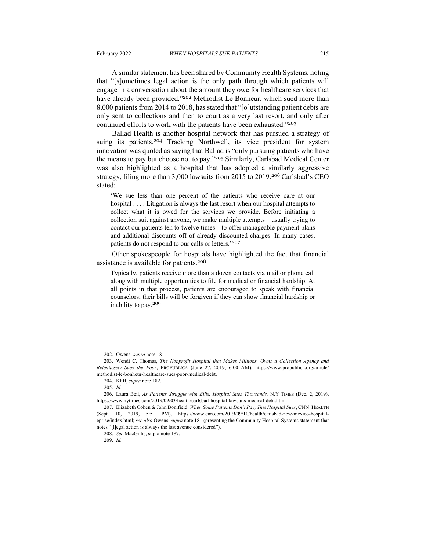A similar statement has been shared by Community Health Systems, noting that "[s]ometimes legal action is the only path through which patients will engage in a conversation about the amount they owe for healthcare services that have already been provided."<sup>202</sup> Methodist Le Bonheur, which sued more than 8,000 patients from 2014 to 2018, has stated that "[o]utstanding patient debts are only sent to collections and then to court as a very last resort, and only after continued efforts to work with the patients have been exhausted."203

Ballad Health is another hospital network that has pursued a strategy of suing its patients.<sup>204</sup> Tracking Northwell, its vice president for system innovation was quoted as saying that Ballad is "only pursuing patients who have the means to pay but choose not to pay."<sup>205</sup> Similarly, Carlsbad Medical Center was also highlighted as a hospital that has adopted a similarly aggressive strategy, filing more than 3,000 lawsuits from 2015 to 2019.<sup>206</sup> Carlsbad's CEO stated:

'We sue less than one percent of the patients who receive care at our hospital . . . . Litigation is always the last resort when our hospital attempts to collect what it is owed for the services we provide. Before initiating a collection suit against anyone, we make multiple attempts—usually trying to contact our patients ten to twelve times—to offer manageable payment plans and additional discounts off of already discounted charges. In many cases, patients do not respond to our calls or letters.'<sup>207</sup>

Other spokespeople for hospitals have highlighted the fact that financial assistance is available for patients.<sup>208</sup>

Typically, patients receive more than a dozen contacts via mail or phone call along with multiple opportunities to file for medical or financial hardship. At all points in that process, patients are encouraged to speak with financial counselors; their bills will be forgiven if they can show financial hardship or inability to pay.<sup>209</sup>

<sup>202.</sup> Owens, *supra* note 181.

<sup>203.</sup> Wendi C. Thomas, *The Nonprofit Hospital that Makes Millions, Owns a Collection Agency and Relentlessly Sues the Poor*, PROPUBLICA (June 27, 2019, 6:00 AM), https://www.propublica.org/article/ methodist-le-bonheur-healthcare-sues-poor-medical-debt.

<sup>204.</sup> Kliff, *supra* note 182.

<sup>205.</sup> *Id.*

<sup>206.</sup> Laura Beil, *As Patients Struggle with Bills, Hospital Sues Thousands,* N.Y TIMES (Dec. 2, 2019), https://www.nytimes.com/2019/09/03/health/carlsbad-hospital-lawsuits-medical-debt.html.

<sup>207.</sup> Elizabeth Cohen & John Bonifield, *When Some Patients Don't Pay, This Hospital Sues*, CNN: HEALTH (Sept. 10, 2019, 5:51 PM), https://www.cnn.com/2019/09/10/health/carlsbad-new-mexico-hospitaleprise/index.html; *see also* Owens, *supra* note 181 (presenting the Community Hospital Systems statement that notes "[l]egal action is always the last avenue considered").

<sup>208.</sup> *See* MacGillis, supra note 187.

<sup>209.</sup> *Id.*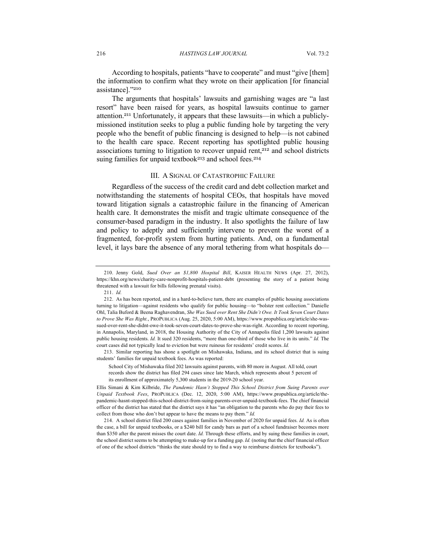According to hospitals, patients "have to cooperate" and must "give [them] the information to confirm what they wrote on their application [for financial assistance]."<sup>210</sup>

The arguments that hospitals' lawsuits and garnishing wages are "a last resort" have been raised for years, as hospital lawsuits continue to garner attention.<sup>211</sup> Unfortunately, it appears that these lawsuits—in which a publiclymissioned institution seeks to plug a public funding hole by targeting the very people who the benefit of public financing is designed to help—is not cabined to the health care space. Recent reporting has spotlighted public housing associations turning to litigation to recover unpaid rent, $2^{12}$  and school districts suing families for unpaid textbook<sup>213</sup> and school fees.<sup>214</sup>

#### III. A SIGNAL OF CATASTROPHIC FAILURE

Regardless of the success of the credit card and debt collection market and notwithstanding the statements of hospital CEOs, that hospitals have moved toward litigation signals a catastrophic failure in the financing of American health care. It demonstrates the misfit and tragic ultimate consequence of the consumer-based paradigm in the industry. It also spotlights the failure of law and policy to adeptly and sufficiently intervene to prevent the worst of a fragmented, for-profit system from hurting patients. And, on a fundamental level, it lays bare the absence of any moral tethering from what hospitals do—

213. Similar reporting has shone a spotlight on Mishawaka, Indiana, and its school district that is suing students' families for unpaid textbook fees. As was reported:

<sup>210.</sup> Jenny Gold, *Sued Over an \$1,800 Hospital Bill*, KAISER HEALTH NEWS (Apr. 27, 2012), https://khn.org/news/charity-care-nonprofit-hospitals-patient-debt (presenting the story of a patient being threatened with a lawsuit for bills following prenatal visits).

<sup>211.</sup> *Id.*

<sup>212.</sup> As has been reported, and in a hard-to-believe turn, there are examples of public housing associations turning to litigation—against residents who qualify for public housing—to "bolster rent collection." Danielle Ohl, Talia Buford & Beena Raghavendran, *She Was Sued over Rent She Didn't Owe. It Took Seven Court Dates to Prove She Was Right.*, PROPUBLICA (Aug. 25, 2020, 5:00 AM), https://www.propublica.org/article/she-wassued-over-rent-she-didnt-owe-it-took-seven-court-dates-to-prove-she-was-right. According to recent reporting, in Annapolis, Maryland, in 2018, the Housing Authority of the City of Annapolis filed 1,200 lawsuits against public housing residents. *Id.* It sued 320 residents, "more than one-third of those who live in its units." *Id.* The court cases did not typically lead to eviction but were ruinous for residents' credit scores. *Id.*

School City of Mishawaka filed 202 lawsuits against parents, with 80 more in August. All told, court records show the district has filed 294 cases since late March, which represents about 5 percent of its enrollment of approximately 5,300 students in the 2019-20 school year.

Ellis Simani & Kim Kilbride, *The Pandemic Hasn't Stopped This School District from Suing Parents over Unpaid Textbook Fees*, PROPUBLICA (Dec. 12, 2020, 5:00 AM), https://www.propublica.org/article/thepandemic-hasnt-stopped-this-school-district-from-suing-parents-over-unpaid-textbook-fees. The chief financial officer of the district has stated that the district says it has "an obligation to the parents who do pay their fees to collect from those who don't but appear to have the means to pay them." *Id.*

<sup>214.</sup> A school district filed 200 cases against families in November of 2020 for unpaid fees. *Id.* As is often the case, a bill for unpaid textbooks, or a \$240 bill for candy bars as part of a school fundraiser becomes more than \$350 after the parent misses the court date. *Id.* Through these efforts, and by suing these families in court, the school district seems to be attempting to make-up for a funding gap. *Id.* (noting that the chief financial officer of one of the school districts "thinks the state should try to find a way to reimburse districts for textbooks").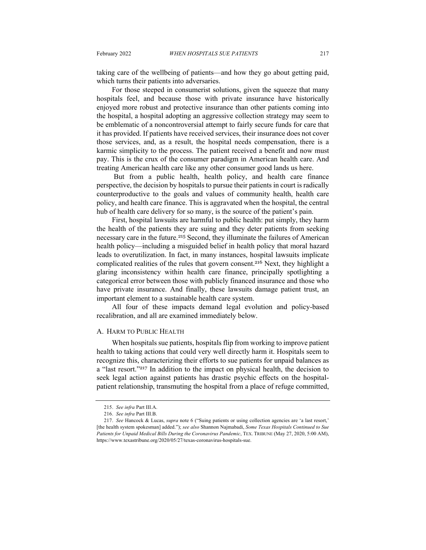taking care of the wellbeing of patients—and how they go about getting paid, which turns their patients into adversaries.

For those steeped in consumerist solutions, given the squeeze that many hospitals feel, and because those with private insurance have historically enjoyed more robust and protective insurance than other patients coming into the hospital, a hospital adopting an aggressive collection strategy may seem to be emblematic of a noncontroversial attempt to fairly secure funds for care that it has provided. If patients have received services, their insurance does not cover those services, and, as a result, the hospital needs compensation, there is a karmic simplicity to the process. The patient received a benefit and now must pay. This is the crux of the consumer paradigm in American health care. And treating American health care like any other consumer good lands us here.

But from a public health, health policy, and health care finance perspective, the decision by hospitals to pursue their patients in court is radically counterproductive to the goals and values of community health, health care policy, and health care finance. This is aggravated when the hospital, the central hub of health care delivery for so many, is the source of the patient's pain.

First, hospital lawsuits are harmful to public health: put simply, they harm the health of the patients they are suing and they deter patients from seeking necessary care in the future.<sup>215</sup> Second, they illuminate the failures of American health policy—including a misguided belief in health policy that moral hazard leads to overutilization. In fact, in many instances, hospital lawsuits implicate complicated realities of the rules that govern consent.<sup>216</sup> Next, they highlight a glaring inconsistency within health care finance, principally spotlighting a categorical error between those with publicly financed insurance and those who have private insurance. And finally, these lawsuits damage patient trust, an important element to a sustainable health care system.

All four of these impacts demand legal evolution and policy-based recalibration, and all are examined immediately below.

### A. HARM TO PUBLIC HEALTH

When hospitals sue patients, hospitals flip from working to improve patient health to taking actions that could very well directly harm it. Hospitals seem to recognize this, characterizing their efforts to sue patients for unpaid balances as a "last resort."<sup>217</sup> In addition to the impact on physical health, the decision to seek legal action against patients has drastic psychic effects on the hospitalpatient relationship, transmuting the hospital from a place of refuge committed,

<sup>215.</sup> *See infra* Part III.A.

<sup>216.</sup> *See infra* Part III.B.

<sup>217.</sup> *See* Hancock & Lucas, *supra* note 6 ("Suing patients or using collection agencies are 'a last resort,' [the health system spokesman] added."); *see also* Shannon Najmabadi, *Some Texas Hospitals Continued to Sue Patients for Unpaid Medical Bills During the Coronavirus Pandemic*, TEX. TRIBUNE (May 27, 2020, 5:00 AM), https://www.texastribune.org/2020/05/27/texas-coronavirus-hospitals-sue.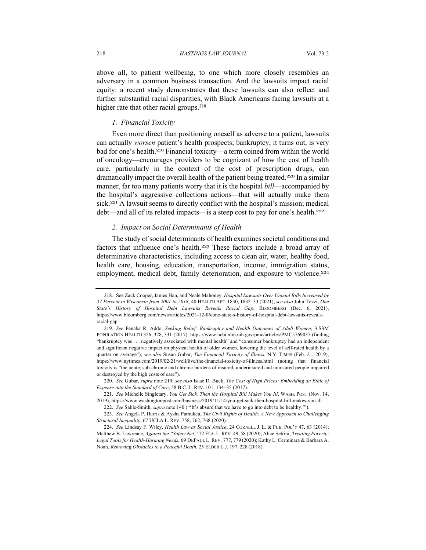above all, to patient wellbeing, to one which more closely resembles an adversary in a common business transaction. And the lawsuits impact racial equity: a recent study demonstrates that these lawsuits can also reflect and further substantial racial disparities, with Black Americans facing lawsuits at a higher rate that other racial groups.<sup>218</sup>

# *1. Financial Toxicity*

Even more direct than positioning oneself as adverse to a patient, lawsuits can actually *worsen* patient's health prospects; bankruptcy, it turns out, is very bad for one's health.<sup>219</sup> Financial toxicity—a term coined from within the world of oncology—encourages providers to be cognizant of how the cost of health care, particularly in the context of the cost of prescription drugs, can dramatically impact the overall health of the patient being treated.<sup>220</sup> In a similar manner, far too many patients worry that it is the hospital *bill*—accompanied by the hospital's aggressive collections actions—that will actually make them sick.<sup>221</sup> A lawsuit seems to directly conflict with the hospital's mission; medical debt—and all of its related impacts—is a steep cost to pay for one's health.<sup>222</sup>

#### *2. Impact on Social Determinants of Health*

The study of social determinants of health examines societal conditions and factors that influence one's health.<sup>223</sup> These factors include a broad array of determinative characteristics, including access to clean air, water, healthy food, health care, housing, education, transportation, income, immigration status, employment, medical debt, family deterioration, and exposure to violence.<sup>224</sup>

<sup>218</sup>. See Zack Cooper, James Han, and Neale Mahoney, *Hospital Lawsuits Over Unpaid Bills Increased by 37 Percent in Wisconsin from 2001 to 2018*, 40 HEALTH AFF. 1830, 1832–33 (2021); *see also* John Tozzi, *One State's History of Hospital Debt Lawsuits Reveals Racial Gap*, BLOOMBERG (Dec. 6, 2021), https://www.bloomberg.com/news/articles/2021-12-06/one-state-s-history-of-hospital-debt-lawsuits-revealsracial-gap.

<sup>219.</sup> *See* Fenaba R. Addo, *Seeking Relief: Bankruptcy and Health Outcomes of Adult Women*, 3 SSM POPULATION HEALTH 326, 328, 331 (2017), https://www.ncbi.nlm.nih.gov/pmc/articles/PMC5769037 (finding "bankruptcy was . . . negatively associated with mental health" and "consumer bankruptcy had an independent and significant negative impact on physical health of older women, lowering the level of self-rated health by a quarter on average"); *see also* Susan Gubar, *The Financial Toxicity of Illness*, N.Y. TIMES (Feb. 21, 2019), https://www.nytimes.com/2019/02/21/well/live/the-financial-toxicity-of-illness.html (noting that financial toxicity is "the acute, sub-chronic and chronic burdens of insured, underinsured and uninsured people impaired or destroyed by the high costs of care").

<sup>220.</sup> *See* Gubar, *supra* note 219; *see also* Isaac D. Buck, *The Cost of High Prices: Embedding an Ethic of Expense into the Standard of Care*, 58 B.C. L. REV. 101, 134–35 (2017).

<sup>221.</sup> *See* Michelle Singletary, *You Get Sick. Then the Hospital Bill Makes You Ill*, WASH. POST (Nov. 14, 2019), https://www.washingtonpost.com/business/2019/11/14/you-get-sick-then-hospital-bill-makes-you-ill.

<sup>222.</sup> *See* Sable-Smith, *supra* note 140 ("'It's absurd that we have to go into debt to be healthy.'").

<sup>223.</sup> *See* Angela P. Harris & Aysha Pamukcu, *The Civil Rights of Health: A New Approach to Challenging Structural Inequality*, 67 UCLA L. REV. 758, 762, 768 (2020).

<sup>224.</sup> *See* Lindsay F. Wiley, *Health Law as Social Justice*, 24 CORNELL J. L. & PUB. POL'Y 47, 63 (2014); Matthew B. Lawrence, *Against the "Safety Net*," 72 FLA. L. REV. 49, 58 (2020); Alice Setrini, *Treating Poverty: Legal Tools for Health-Harming Needs*, 69 DEPAUL L. REV. 777, 779 (2020); Kathy L. Cerminara & Barbara A. Noah, *Removing Obstacles to a Peaceful Death*, 25 ELDER L.J. 197, 228 (2018).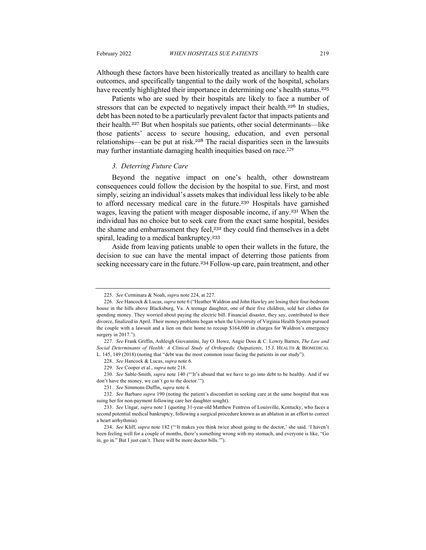Although these factors have been historically treated as ancillary to health care outcomes, and specifically tangential to the daily work of the hospital, scholars have recently highlighted their importance in determining one's health status.<sup>225</sup>

Patients who are sued by their hospitals are likely to face a number of stressors that can be expected to negatively impact their health.<sup>226</sup> In studies, debt has been noted to be a particularly prevalent factor that impacts patients and their health.<sup>227</sup> But when hospitals sue patients, other social determinants—like those patients' access to secure housing, education, and even personal relationships—can be put at risk.<sup>228</sup> The racial disparities seen in the lawsuits may further instantiate damaging health inequities based on race.<sup>229</sup>

## *3. Deterring Future Care*

Beyond the negative impact on one's health, other downstream consequences could follow the decision by the hospital to sue. First, and most simply, seizing an individual's assets makes that individual less likely to be able to afford necessary medical care in the future.<sup>230</sup> Hospitals have garnished wages, leaving the patient with meager disposable income, if any.<sup>231</sup> When the individual has no choice but to seek care from the exact same hospital, besides the shame and embarrassment they feel,<sup>232</sup> they could find themselves in a debt spiral, leading to a medical bankruptcy.<sup>233</sup>

Aside from leaving patients unable to open their wallets in the future, the decision to sue can have the mental impact of deterring those patients from seeking necessary care in the future.<sup>234</sup> Follow-up care, pain treatment, and other

<sup>225.</sup> *See* Cerminara & Noah, *supra* note 224, at 227.

<sup>226.</sup> *See* Hancock & Lucas, *supra* note 6 ("Heather Waldron and John Hawley are losing their four-bedroom house in the hills above Blacksburg, Va. A teenage daughter, one of their five children, sold her clothes for spending money. They worried about paying the electric bill. Financial disaster, they say, contributed to their divorce, finalized in April. Their money problems began when the University of Virginia Health System pursued the couple with a lawsuit and a lien on their home to recoup \$164,000 in charges for Waldron's emergency surgery in 2017.").

<sup>227.</sup> *See* Frank Griffin, Ashleigh Giovannini, Jay O. Howe, Angie Doss & C. Lowry Barnes, *The Law and Social Determinants of Health: A Clinical Study of Orthopedic Outpatients*, 15 J. HEALTH & BIOMEDICAL L. 145, 149 (2018) (noting that "debt was the most common issue facing the patients in our study").

<sup>228.</sup> *See* Hancock & Lucas, *supra* note 6.

<sup>229</sup>. *See* Cooper et al., *supra* note 218.

<sup>230.</sup> *See* Sable-Smith, *supra* note 140 ("'It's absurd that we have to go into debt to be healthy. And if we don't have the money, we can't go to the doctor.'").

<sup>231.</sup> *See* Simmons-Duffin, *supra* note 4.

<sup>232.</sup> *See* Barbaro *supra* 190 (noting the patient's discomfort in seeking care at the same hospital that was suing her for non-payment following care her daughter sought).

<sup>233.</sup> *See* Ungar, *supra* note 1 (quoting 31-year-old Matthew Fentress of Louisville, Kentucky, who faces a second potential medical bankruptcy, following a surgical procedure known as an ablation in an effort to correct a heart arrhythmia).

<sup>234.</sup> *See* Kliff, *supra* note 182 ("'It makes you think twice about going to the doctor,' she said. 'I haven't been feeling well for a couple of months, there's something wrong with my stomach, and everyone is like, "Go in, go in." But I just can't. There will be more doctor bills.'").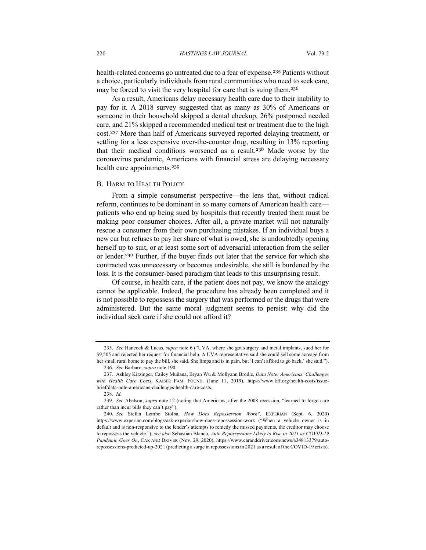health-related concerns go untreated due to a fear of expense.<sup>235</sup> Patients without a choice, particularly individuals from rural communities who need to seek care, may be forced to visit the very hospital for care that is suing them.<sup>236</sup>

As a result, Americans delay necessary health care due to their inability to pay for it. A 2018 survey suggested that as many as 30% of Americans or someone in their household skipped a dental checkup, 26% postponed needed care, and 21% skipped a recommended medical test or treatment due to the high cost.<sup>237</sup> More than half of Americans surveyed reported delaying treatment, or settling for a less expensive over-the-counter drug, resulting in 13% reporting that their medical conditions worsened as a result.<sup>238</sup> Made worse by the coronavirus pandemic, Americans with financial stress are delaying necessary health care appointments.<sup>239</sup>

#### B. HARM TO HEALTH POLICY

From a simple consumerist perspective—the lens that, without radical reform, continues to be dominant in so many corners of American health care patients who end up being sued by hospitals that recently treated them must be making poor consumer choices. After all, a private market will not naturally rescue a consumer from their own purchasing mistakes. If an individual buys a new car but refuses to pay her share of what is owed, she is undoubtedly opening herself up to suit, or at least some sort of adversarial interaction from the seller or lender.<sup>240</sup> Further, if the buyer finds out later that the service for which she contracted was unnecessary or becomes undesirable, she still is burdened by the loss. It is the consumer-based paradigm that leads to this unsurprising result.

Of course, in health care, if the patient does not pay, we know the analogy cannot be applicable. Indeed, the procedure has already been completed and it is not possible to repossess the surgery that was performed or the drugs that were administered. But the same moral judgment seems to persist: why did the individual seek care if she could not afford it?

<sup>235.</sup> *See* Hancock & Lucas, *supra* note 6 ("UVA, where she got surgery and metal implants, sued her for \$9,505 and rejected her request for financial help. A UVA representative said she could sell some acreage from her small rural home to pay the bill, she said. She limps and is in pain, but 'I can't afford to go back,' she said."). 236. *See* Barbaro, *supra* note 190*.*

<sup>237.</sup> Ashley Kirzinger, Cailey Muñana, Bryan Wu & Mollyann Brodie, *Data Note: Americans' Challenges with Health Care Costs*, KAISER FAM. FOUND. (June 11, 2019), https://www.kff.org/health-costs/issuebrief/data-note-americans-challenges-health-care-costs.

<sup>238.</sup> *Id.*

<sup>239.</sup> *See* Abelson, *supra* note 12 (noting that Americans, after the 2008 recession, "learned to forgo care rather than incur bills they can't pay").

<sup>240.</sup> *See* Stefan Lembo Stolba, *How Does Repossession Work?*, EXPERIAN (Sept. 6, 2020) https://www.experian.com/blogs/ask-experian/how-does-repossession-work ("When a vehicle owner is in default and is non-responsive to the lender's attempts to remedy the missed payments, the creditor may choose to repossess the vehicle."); *see also* Sebastian Blanco, *Auto Repossessions Likely to Rise in 2021 as COVID-19 Pandemic Goes On*, CAR AND DRIVER (Nov. 29, 2020), https://www.caranddriver.com/news/a34813379/autorepossessions-predicted-up-2021 (predicting a surge in repossessions in 2021 as a result of the COVID-19 crisis).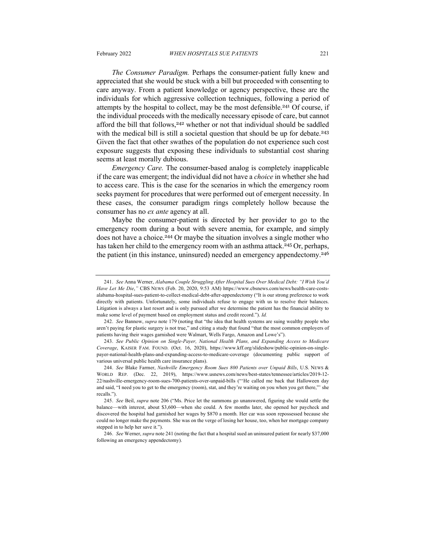seems at least morally dubious.

*The Consumer Paradigm.* Perhaps the consumer-patient fully knew and appreciated that she would be stuck with a bill but proceeded with consenting to care anyway. From a patient knowledge or agency perspective, these are the individuals for which aggressive collection techniques, following a period of attempts by the hospital to collect, may be the most defensible.<sup>241</sup> Of course, if the individual proceeds with the medically necessary episode of care, but cannot afford the bill that follows,<sup>242</sup> whether or not that individual should be saddled with the medical bill is still a societal question that should be up for debate.<sup>243</sup> Given the fact that other swathes of the population do not experience such cost exposure suggests that exposing these individuals to substantial cost sharing

*Emergency Care.* The consumer-based analog is completely inapplicable if the care was emergent; the individual did not have a *choice* in whether she had to access care. This is the case for the scenarios in which the emergency room seeks payment for procedures that were performed out of emergent necessity. In these cases, the consumer paradigm rings completely hollow because the consumer has no *ex ante* agency at all.

Maybe the consumer-patient is directed by her provider to go to the emergency room during a bout with severe anemia, for example, and simply does not have a choice.<sup>244</sup> Or maybe the situation involves a single mother who has taken her child to the emergency room with an asthma attack.<sup>245</sup> Or, perhaps, the patient (in this instance, uninsured) needed an emergency appendectomy.<sup>246</sup>

<sup>241.</sup> *See* Anna Werner, *Alabama Couple Struggling After Hospital Sues Over Medical Debt: "I Wish You'd Have Let Me Die*,*"* CBS NEWS (Feb. 20, 2020, 9:53 AM) https://www.cbsnews.com/news/health-care-costsalabama-hospital-sues-patient-to-collect-medical-debt-after-appendectomy ("It is our strong preference to work directly with patients. Unfortunately, some individuals refuse to engage with us to resolve their balances. Litigation is always a last resort and is only pursued after we determine the patient has the financial ability to make some level of payment based on employment status and credit record."). *Id.*

<sup>242.</sup> *See* Bannow, *supra* note 179 (noting that "the idea that health systems are suing wealthy people who aren't paying for plastic surgery is not true," and citing a study that found "that the most common employers of patients having their wages garnished were Walmart, Wells Fargo, Amazon and Lowe's").

<sup>243.</sup> *See Public Opinion on Single-Payer, National Health Plans, and Expanding Access to Medicare Coverage*, KAISER FAM. FOUND. (Oct. 16, 2020), https://www.kff.org/slideshow/public-opinion-on-singlepayer-national-health-plans-and-expanding-access-to-medicare-coverage (documenting public support of various universal public health care insurance plans).

<sup>244.</sup> *See* Blake Farmer, *Nashville Emergency Room Sues 800 Patients over Unpaid Bills*, U.S. NEWS & WORLD REP. (Dec. 22, 2019), https://www.usnews.com/news/best-states/tennessee/articles/2019-12- 22/nashville-emergency-room-sues-700-patients-over-unpaid-bills ("'He called me back that Halloween day and said, "I need you to get to the emergency (room), stat, and they're waiting on you when you get there,"' she recalls.").

<sup>245.</sup> *See* Beil, *supra* note 206 ("Ms. Price let the summons go unanswered, figuring she would settle the balance—with interest, about \$3,600—when she could. A few months later, she opened her paycheck and discovered the hospital had garnished her wages by \$870 a month. Her car was soon repossessed because she could no longer make the payments. She was on the verge of losing her house, too, when her mortgage company stepped in to help her save it.").

<sup>246.</sup> *See* Werner, *supra* note 241 (noting the fact that a hospital sued an uninsured patient for nearly \$37,000 following an emergency appendectomy).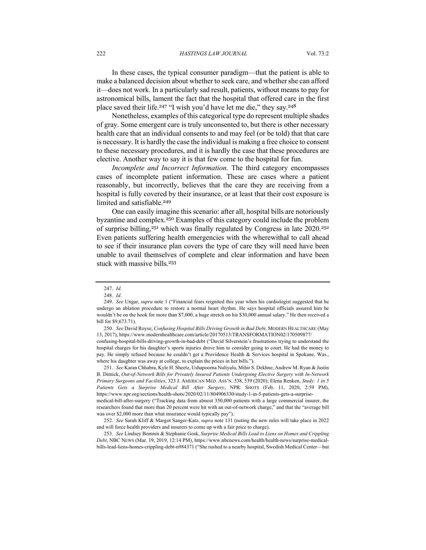#### 222 *HASTINGS LAW JOURNAL* Vol. 73:2

In these cases, the typical consumer paradigm—that the patient is able to make a balanced decision about whether to seek care, and whether she can afford it—does not work. In a particularly sad result, patients, without means to pay for astronomical bills, lament the fact that the hospital that offered care in the first place saved their life.<sup>247</sup> "I wish you'd have let me die," they say.<sup>248</sup>

Nonetheless, examples of this categorical type do represent multiple shades of gray. Some emergent care is truly unconsented to, but there is other necessary health care that an individual consents to and may feel (or be told) that that care is necessary. It is hardly the case the individual is making a free choice to consent to these necessary procedures, and it is hardly the case that these procedures are elective. Another way to say it is that few come to the hospital for fun.

*Incomplete and Incorrect Information.* The third category encompasses cases of incomplete patient information. These are cases where a patient reasonably, but incorrectly, believes that the care they are receiving from a hospital is fully covered by their insurance, or at least that their cost exposure is limited and satisfiable.<sup>249</sup>

One can easily imagine this scenario: after all, hospital bills are notoriously byzantine and complex.<sup>250</sup> Examples of this category could include the problem of surprise billing, $251$  which was finally regulated by Congress in late  $2020$ .  $252$ Even patients suffering health emergencies with the wherewithal to call ahead to see if their insurance plan covers the type of care they will need have been unable to avail themselves of complete and clear information and have been stuck with massive bills.<sup>253</sup>

confusing-hospital-bills-driving-growth-in-bad-debt ("David Silverstein's frustrations trying to understand the hospital charges for his daughter's sports injuries drove him to consider going to court. He had the money to pay. He simply refused because he couldn't get a Providence Health & Services hospital in Spokane, Was., where his daughter was away at college, to explain the prices in her bills.").

251. *See* Karan Chhabra, Kyle H. Sheetz, Ushapoorna Nuliyalu, Mihir S. Dekhne, Andrew M. Ryan & Justin B. Dimick, *Out-of-Network Bills for Privately Insured Patients Undergoing Elective Surgery with In-Network Primary Surgeons and Facilities*, 323 J. AMERICAN MED. ASS'N. 538, 539 (2020); Elena Renken, *Study: 1 in 5 Patients Gets a Surprise Medical Bill After Surgery*, NPR: SHOTS (Feb. 11, 2020, 2:59 PM), https://www.npr.org/sections/health-shots/2020/02/11/804906330/study-1-in-5-patients-gets-a-surprise-

medical-bill-after-surgery ("Tracking data from almost 350,000 patients with a large commercial insurer, the researchers found that more than 20 percent were hit with an out-of-network charge," and that the "average bill was over \$2,000 more than what insurance would typically pay").

253. *See* Lindsey Bomnin & Stephanie Gosk, *Surprise Medical Bills Lead to Liens on Homes and Crippling Debt*, NBC NEWS (Mar. 19, 2019, 12:14 PM), https://www.nbcnews.com/health/health-news/surprise-medicalbills-lead-liens-homes-crippling-debt-n984371 ("She rushed to a nearby hospital, Swedish Medical Center—but

<sup>247.</sup> *Id.*

<sup>248.</sup> *Id.*

<sup>249.</sup> *See* Ungar, *supra* note 1 ("Financial fears reignited this year when his cardiologist suggested that he undergo an ablation procedure to restore a normal heart rhythm. He says hospital officials assured him he wouldn't be on the hook for more than \$7,000, a huge stretch on his \$30,000 annual salary." He then received a bill for \$9,673.71).

<sup>250.</sup> *See* David Royse, *Confusing Hospital Bills Driving Growth in Bad Debt,* MODERN HEALTHCARE (May 13, 2017), https://www.modernhealthcare.com/article/20170513/TRANSFORMATION02/170509877/

<sup>252.</sup> *See* Sarah Kliff & Margot Sanger-Katz, *supra* note 131 (noting the new rules will take place in 2022 and will force health providers and insurers to come up with a fair price to charge).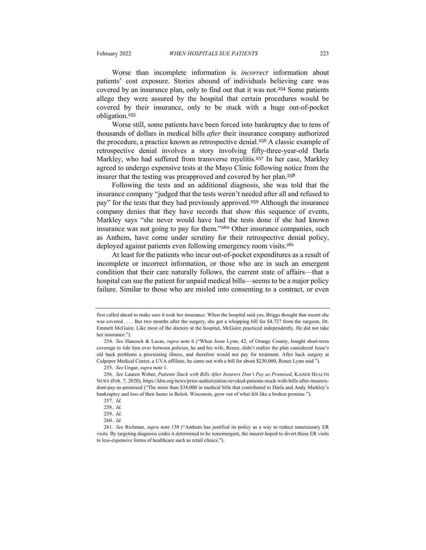Worse than incomplete information is *incorrect* information about patients' cost exposure. Stories abound of individuals believing care was covered by an insurance plan, only to find out that it was not.<sup>254</sup> Some patients allege they were assured by the hospital that certain procedures would be covered by their insurance, only to be stuck with a huge out-of-pocket obligation.<sup>255</sup>

Worse still, some patients have been forced into bankruptcy due to tens of thousands of dollars in medical bills *after* their insurance company authorized the procedure, a practice known as retrospective denial.<sup>256</sup> A classic example of retrospective denial involves a story involving fifty-three-year-old Darla Markley, who had suffered from transverse myelitis.<sup>257</sup> In her case, Markley agreed to undergo expensive tests at the Mayo Clinic following notice from the insurer that the testing was preapproved and covered by her plan.<sup>258</sup>

Following the tests and an additional diagnosis, she was told that the insurance company "judged that the tests weren't needed after all and refused to pay" for the tests that they had previously approved.<sup>259</sup> Although the insurance company denies that they have records that show this sequence of events, Markley says "she never would have had the tests done if she had known insurance was not going to pay for them."<sup>260</sup> Other insurance companies, such as Anthem, have come under scrutiny for their retrospective denial policy, deployed against patients even following emergency room visits.<sup>261</sup>

At least for the patients who incur out-of-pocket expenditures as a result of incomplete or incorrect information, or those who are in such an emergent condition that their care naturally follows, the current state of affairs—that a hospital can sue the patient for unpaid medical bills—seems to be a major policy failure. Similar to those who are misled into consenting to a contract, or even

first called ahead to make sure it took her insurance. When the hospital said yes, Briggs thought that meant she was covered . . . . But two months after the surgery, she got a whopping bill for \$4,727 from the surgeon, Dr. Emmett McGuire. Like most of the doctors at the hospital, McGuire practiced independently. He did not take her insurance.").

<sup>254.</sup> *See* Hancock & Lucas, *supra* note 6 ("When Jesse Lynn, 42, of Orange County, bought short-term coverage to tide him over between policies, he and his wife, Renee, didn't realize the plan considered Jesse's old back problems a preexisting illness, and therefore would not pay for treatment. After back surgery at Culpeper Medical Center, a UVA affiliate, he came out with a bill for about \$230,000, Renee Lynn said.").

<sup>255.</sup> *See* Ungar, *supra* note 1.

<sup>256.</sup> *See* Lauren Weber, *Patients Stuck with Bills After Insurers Don't Pay as Promised*, KAISER HEALTH NEWS (Feb. 7, 2020), https://khn.org/news/prior-authorization-revoked-patients-stuck-with-bills-after-insurersdont-pay-as-promised ("The more than \$34,000 in medical bills that contributed to Darla and Andy Markley's bankruptcy and loss of their home in Beloit, Wisconsin, grew out of what felt like a broken promise.").

<sup>257.</sup> *Id.*

<sup>258.</sup> *Id.*

<sup>259.</sup> *Id.*

<sup>260.</sup> *Id.*

<sup>261.</sup> *See* Richman, *supra* note 138 ("Anthem has justified its policy as a way to reduce unnecessary ER visits. By targeting diagnosis codes it determined to be nonemergent, the insurer hoped to divert those ER visits to less-expensive forms of healthcare such as retail clinics.").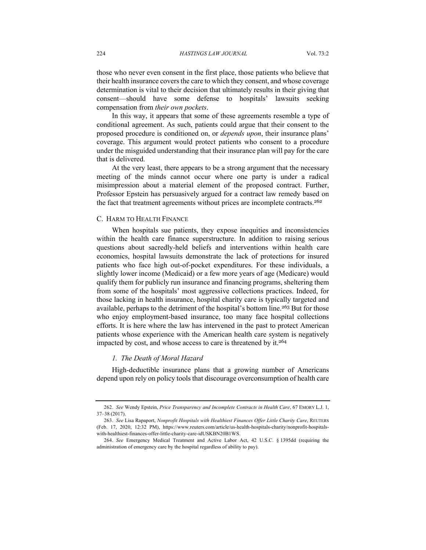those who never even consent in the first place, those patients who believe that their health insurance covers the care to which they consent, and whose coverage determination is vital to their decision that ultimately results in their giving that consent—should have some defense to hospitals' lawsuits seeking compensation from *their own pockets*.

In this way, it appears that some of these agreements resemble a type of conditional agreement. As such, patients could argue that their consent to the proposed procedure is conditioned on, or *depends upon*, their insurance plans' coverage. This argument would protect patients who consent to a procedure under the misguided understanding that their insurance plan will pay for the care that is delivered.

At the very least, there appears to be a strong argument that the necessary meeting of the minds cannot occur where one party is under a radical misimpression about a material element of the proposed contract. Further, Professor Epstein has persuasively argued for a contract law remedy based on the fact that treatment agreements without prices are incomplete contracts.<sup>262</sup>

## C. HARM TO HEALTH FINANCE

When hospitals sue patients, they expose inequities and inconsistencies within the health care finance superstructure. In addition to raising serious questions about sacredly-held beliefs and interventions within health care economics, hospital lawsuits demonstrate the lack of protections for insured patients who face high out-of-pocket expenditures. For these individuals, a slightly lower income (Medicaid) or a few more years of age (Medicare) would qualify them for publicly run insurance and financing programs, sheltering them from some of the hospitals' most aggressive collections practices. Indeed, for those lacking in health insurance, hospital charity care is typically targeted and available, perhaps to the detriment of the hospital's bottom line.<sup>263</sup> But for those who enjoy employment-based insurance, too many face hospital collections efforts. It is here where the law has intervened in the past to protect American patients whose experience with the American health care system is negatively impacted by cost, and whose access to care is threatened by it.<sup>264</sup>

# *1. The Death of Moral Hazard*

High-deductible insurance plans that a growing number of Americans depend upon rely on policy tools that discourage overconsumption of health care

<sup>262.</sup> *See* Wendy Epstein, *Price Transparency and Incomplete Contracts in Health Care*, 67 EMORY L.J. 1, 37–38 (2017).

<sup>263.</sup> *See* Lisa Rapaport, *Nonprofit Hospitals with Healthiest Finances Offer Little Charity Care*, REUTERS (Feb. 17, 2020, 12:32 PM), https://www.reuters.com/article/us-health-hospitals-charity/nonprofit-hospitalswith-healthiest-finances-offer-little-charity-care-idUSKBN20B1WS.

<sup>264.</sup> *See* Emergency Medical Treatment and Active Labor Act, 42 U.S.C. § 1395dd (requiring the administration of emergency care by the hospital regardless of ability to pay).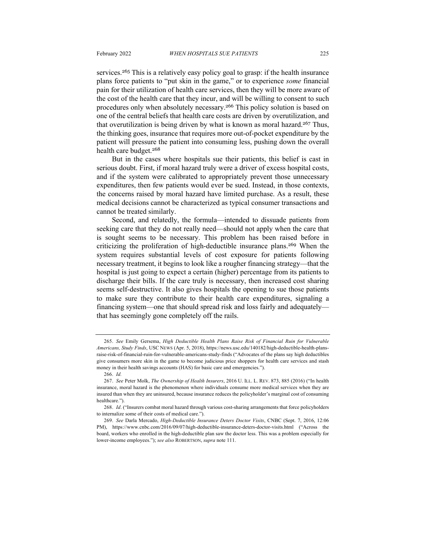services.<sup>265</sup> This is a relatively easy policy goal to grasp: if the health insurance plans force patients to "put skin in the game," or to experience *some* financial pain for their utilization of health care services, then they will be more aware of the cost of the health care that they incur, and will be willing to consent to such procedures only when absolutely necessary.<sup>266</sup> This policy solution is based on one of the central beliefs that health care costs are driven by overutilization, and that overutilization is being driven by what is known as moral hazard.<sup>267</sup> Thus, the thinking goes, insurance that requires more out-of-pocket expenditure by the patient will pressure the patient into consuming less, pushing down the overall health care budget.<sup>268</sup>

But in the cases where hospitals sue their patients, this belief is cast in serious doubt. First, if moral hazard truly were a driver of excess hospital costs, and if the system were calibrated to appropriately prevent those unnecessary expenditures, then few patients would ever be sued. Instead, in those contexts, the concerns raised by moral hazard have limited purchase. As a result, these medical decisions cannot be characterized as typical consumer transactions and cannot be treated similarly.

Second, and relatedly, the formula—intended to dissuade patients from seeking care that they do not really need—should not apply when the care that is sought seems to be necessary. This problem has been raised before in criticizing the proliferation of high-deductible insurance plans.<sup>269</sup> When the system requires substantial levels of cost exposure for patients following necessary treatment, it begins to look like a rougher financing strategy—that the hospital is just going to expect a certain (higher) percentage from its patients to discharge their bills. If the care truly is necessary, then increased cost sharing seems self-destructive. It also gives hospitals the opening to sue those patients to make sure they contribute to their health care expenditures, signaling a financing system—one that should spread risk and loss fairly and adequately that has seemingly gone completely off the rails.

<sup>265.</sup> *See* Emily Gersema, *High Deductible Health Plans Raise Risk of Financial Ruin for Vulnerable Americans, Study Finds*, USC NEWS (Apr. 5, 2018), https://news.usc.edu/140182/high-deductible-health-plansraise-risk-of-financial-ruin-for-vulnerable-americans-study-finds ("Advocates of the plans say high deductibles give consumers more skin in the game to become judicious price shoppers for health care services and stash money in their health savings accounts (HAS) for basic care and emergencies.").

<sup>266.</sup> *Id.*

<sup>267.</sup> *See* Peter Molk, *The Ownership of Health Insurers*, 2016 U. ILL. L. REV. 873, 885 (2016) ("In health insurance, moral hazard is the phenomenon where individuals consume more medical services when they are insured than when they are uninsured, because insurance reduces the policyholder's marginal cost of consuming healthcare.").

<sup>268.</sup> *Id*. ("Insurers combat moral hazard through various cost-sharing arrangements that force policyholders to internalize some of their costs of medical care.").

<sup>269.</sup> *See* Darla Mercado, *High-Deductible Insurance Deters Doctor Visits*, CNBC (Sept. 7, 2016, 12:06 PM), https://www.cnbc.com/2016/09/07/high-deductible-insurance-deters-doctor-visits.html ("Across the board, workers who enrolled in the high-deductible plan saw the doctor less. This was a problem especially for lower-income employees."); *see also* ROBERTSON, *supra* note 111.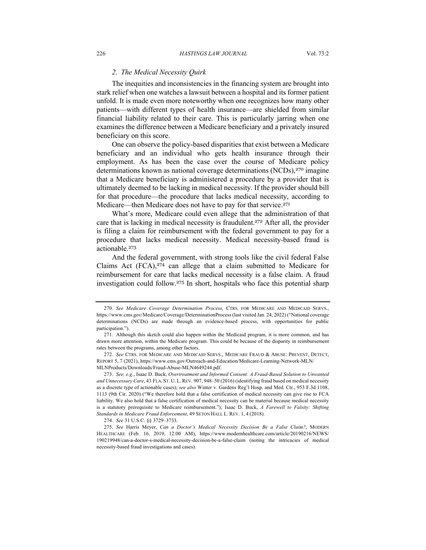# *2. The Medical Necessity Quirk*

The inequities and inconsistencies in the financing system are brought into stark relief when one watches a lawsuit between a hospital and its former patient unfold. It is made even more noteworthy when one recognizes how many other patients—with different types of health insurance—are shielded from similar financial liability related to their care. This is particularly jarring when one examines the difference between a Medicare beneficiary and a privately insured beneficiary on this score.

One can observe the policy-based disparities that exist between a Medicare beneficiary and an individual who gets health insurance through their employment. As has been the case over the course of Medicare policy determinations known as national coverage determinations  $(NCDs)$ ,  $270$  imagine that a Medicare beneficiary is administered a procedure by a provider that is ultimately deemed to be lacking in medical necessity. If the provider should bill for that procedure—the procedure that lacks medical necessity, according to Medicare—then Medicare does not have to pay for that service.<sup>271</sup>

What's more, Medicare could even allege that the administration of that care that is lacking in medical necessity is fraudulent.<sup>272</sup> After all, the provider is filing a claim for reimbursement with the federal government to pay for a procedure that lacks medical necessity. Medical necessity-based fraud is actionable.<sup>273</sup>

And the federal government, with strong tools like the civil federal False Claims Act (FCA),<sup>274</sup> can allege that a claim submitted to Medicare for reimbursement for care that lacks medical necessity is a false claim. A fraud investigation could follow.<sup>275</sup> In short, hospitals who face this potential sharp

<sup>270.</sup> *See Medicare Coverage Determination Process,* CTRS. FOR MEDICARE AND MEDICAID SERVS., https://www.cms.gov/Medicare/Coverage/DeterminationProcess (last visited Jan. 24, 2022) ("National coverage determinations (NCDs) are made through an evidence-based process, with opportunities for public participation.").

<sup>271.</sup> Although this sketch could also happen within the Medicaid program, it is more common, and has drawn more attention, within the Medicare program. This could be because of the disparity in reimbursement rates between the programs, among other factors.

<sup>272.</sup> *See* CTRS. FOR MEDICARE AND MEDICAID SERVS., MEDICARE FRAUD & ABUSE: PREVENT, DETECT, REPORT 5, 7 (2021), https://www.cms.gov/Outreach-and-Education/Medicare-Learning-Network-MLN/ MLNProducts/Downloads/Fraud-Abuse-MLN4649244.pdf.

<sup>273.</sup> *See, e.g.*, Isaac D. Buck, *Overtreatment and Informed Consent: A Fraud-Based Solution to Unwanted and Unnecessary Care*, 43 FLA. ST. U. L.REV. 907, 948–50 (2016) (identifying fraud based on medical necessity as a discrete type of actionable cases); *see also* Winter v. Gardens Reg'l Hosp. and Med. Ctr., 953 F.3d 1108, 1113 (9th Cir. 2020) ("We therefore hold that a false certification of medical necessity can give rise to FCA liability. We also hold that a false certification of medical necessity can be material because medical necessity is a statutory prerequisite to Medicare reimbursement."); Isaac D. Buck, *A Farewell to Falsity: Shifting Standards in Medicare Fraud Enforcement*, 49 SETON HALL L. REV. 1, 4 (2018).

<sup>274.</sup> *See* 31 U.S.C. §§ 3729–3733.

<sup>275.</sup> *See* Harris Meyer, *Can a Doctor's Medical Necessity Decision Be a False Claim?*, MODERN HEALTHCARE (Feb. 16, 2019, 12:00 AM), https://www.modernhealthcare.com/article/20190216/NEWS/ 190219948/can-a-doctor-s-medical-necessity-decision-be-a-false-claim (noting the intricacies of medical necessity-based fraud investigations and cases).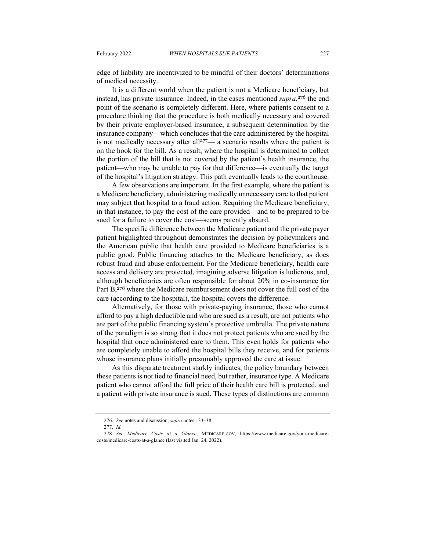edge of liability are incentivized to be mindful of their doctors' determinations of medical necessity.

It is a different world when the patient is not a Medicare beneficiary, but instead, has private insurance. Indeed, in the cases mentioned *supra*, <sup>276</sup> the end point of the scenario is completely different. Here, where patients consent to a procedure thinking that the procedure is both medically necessary and covered by their private employer-based insurance, a subsequent determination by the insurance company—which concludes that the care administered by the hospital is not medically necessary after all<sup>277</sup>— a scenario results where the patient is on the hook for the bill. As a result, where the hospital is determined to collect the portion of the bill that is not covered by the patient's health insurance, the patient—who may be unable to pay for that difference—is eventually the target of the hospital's litigation strategy. This path eventually leads to the courthouse.

A few observations are important. In the first example, where the patient is a Medicare beneficiary, administering medically unnecessary care to that patient may subject that hospital to a fraud action. Requiring the Medicare beneficiary, in that instance, to pay the cost of the care provided—and to be prepared to be sued for a failure to cover the cost—seems patently absurd.

The specific difference between the Medicare patient and the private payer patient highlighted throughout demonstrates the decision by policymakers and the American public that health care provided to Medicare beneficiaries is a public good. Public financing attaches to the Medicare beneficiary, as does robust fraud and abuse enforcement. For the Medicare beneficiary, health care access and delivery are protected, imagining adverse litigation is ludicrous, and, although beneficiaries are often responsible for about 20% in co-insurance for Part B,<sup>278</sup> where the Medicare reimbursement does not cover the full cost of the care (according to the hospital), the hospital covers the difference.

Alternatively, for those with private-paying insurance, those who cannot afford to pay a high deductible and who are sued as a result, are not patients who are part of the public financing system's protective umbrella. The private nature of the paradigm is so strong that it does not protect patients who are sued by the hospital that once administered care to them. This even holds for patients who are completely unable to afford the hospital bills they receive, and for patients whose insurance plans initially presumably approved the care at issue.

As this disparate treatment starkly indicates, the policy boundary between these patients is not tied to financial need, but rather, insurance type. A Medicare patient who cannot afford the full price of their health care bill is protected, and a patient with private insurance is sued. These types of distinctions are common

<sup>276.</sup> *See* notes and discussion, *supra* notes 133–38.

<sup>277.</sup> *Id.*

<sup>278.</sup> *See Medicare Costs at a Glance*, MEDICARE.GOV, https://www.medicare.gov/your-medicarecosts/medicare-costs-at-a-glance (last visited Jan. 24, 2022).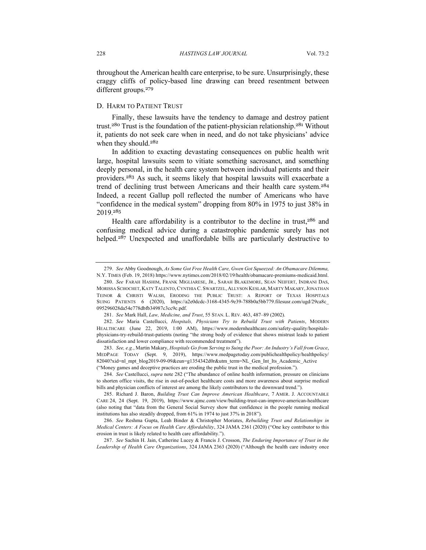throughout the American health care enterprise, to be sure. Unsurprisingly, these craggy cliffs of policy-based line drawing can breed resentment between different groups. 279

#### D. HARM TO PATIENT TRUST

Finally, these lawsuits have the tendency to damage and destroy patient trust.<sup>280</sup> Trust is the foundation of the patient-physician relationship.<sup>281</sup> Without it, patients do not seek care when in need, and do not take physicians' advice when they should.<sup>282</sup>

In addition to exacting devastating consequences on public health writ large, hospital lawsuits seem to vitiate something sacrosanct, and something deeply personal, in the health care system between individual patients and their providers.<sup>283</sup> As such, it seems likely that hospital lawsuits will exacerbate a trend of declining trust between Americans and their health care system.<sup>284</sup> Indeed, a recent Gallup poll reflected the number of Americans who have "confidence in the medical system" dropping from 80% in 1975 to just 38% in 2019.<sup>285</sup>

Health care affordability is a contributor to the decline in trust,<sup>286</sup> and confusing medical advice during a catastrophic pandemic surely has not helped.<sup>287</sup> Unexpected and unaffordable bills are particularly destructive to

283. *See, e.g.*, Martin Makary, *Hospitals Go from Serving to Suing the Poor: An Industry's Fall from Grace*, MEDPAGE TODAY (Sept. 9, 2019), https://www.medpagetoday.com/publichealthpolicy/healthpolicy/ 82040?xid=nl\_mpt\_blog2019-09-09&eun=g1354342d0r&utm\_term=NL\_Gen\_Int\_Its\_Academic\_Active ("Money games and deceptive practices are eroding the public trust in the medical profession.").

<sup>279.</sup> *See* Abby Goodnough, *As Some Got Free Health Care, Gwen Got Squeezed: An Obamacare Dilemma,*  N.Y. TIMES (Feb. 19, 2018) https://www.nytimes.com/2018/02/19/health/obamacare-premiums-medicaid.html.

<sup>280.</sup> *See* FARAH HASHIM, FRANK MIGLIARESE, JR., SARAH BLAKEMORE, SEAN NEIFERT, INDRANI DAS, MORISSA SCHOCHET, KATY TALENTO,CYNTHIA C. SWARTZEL, ALLYSON KESLAR, MARTY MAKARY,JONATHAN TEINOR & CHRISTI WALSH, ERODING THE PUBLIC TRUST: A REPORT OF TEXAS HOSPITALS SUING PATIENTS 6 (2020), https://a2e0dcdc-3168-4345-9e39-788b0a5bb779.filesusr.com/ugd/29ca8c\_ 095296028da54e778dbfb34987c3cc9c.pdf.

<sup>281.</sup> *See* Mark Hall, *Law, Medicine, and Trust*, 55 STAN. L. REV. 463, 487–89 (2002).

<sup>282.</sup> *See* Maria Castellucci, *Hospitals, Physicians Try to Rebuild Trust with Patients*, MODERN HEALTHCARE (June 22, 2019, 1:00 AM), https://www.modernhealthcare.com/safety-quality/hospitalsphysicians-try-rebuild-trust-patients (noting "the strong body of evidence that shows mistrust leads to patient dissatisfaction and lower compliance with recommended treatment").

<sup>284.</sup> *See* Castellucci, *supra* note 282 ("The abundance of online health information, pressure on clinicians to shorten office visits, the rise in out-of-pocket healthcare costs and more awareness about surprise medical bills and physician conflicts of interest are among the likely contributors to the downward trend.").

<sup>285.</sup> Richard J. Baron, *Building Trust Can Improve American Healthcare*, 7 AMER. J. ACCOUNTABLE CARE 24, 24 (Sept. 19, 2019), https://www.ajmc.com/view/building-trust-can-improve-american-healthcare (also noting that "data from the General Social Survey show that confidence in the people running medical institutions has also steadily dropped, from 61% in 1974 to just 37% in 2018").

<sup>286.</sup> *See* Reshma Gupta, Leah Binder & Christopher Moriates, *Rebuilding Trust and Relationships in Medical Centers: A Focus on Health Care Affordability*, 324 JAMA 2361 (2020) ("One key contributor to this erosion in trust is likely related to health care affordability.").

<sup>287.</sup> *See* Sachin H. Jain, Catherine Lucey & Francis J. Crosson, *The Enduring Importance of Trust in the Leadership of Health Care Organizations*, 324 JAMA 2363 (2020) ("Although the health care industry once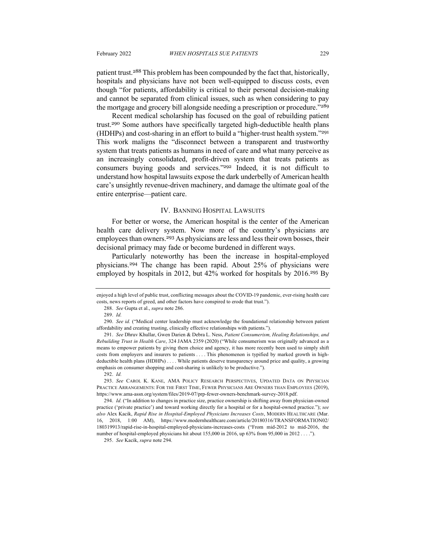patient trust.<sup>288</sup> This problem has been compounded by the fact that, historically, hospitals and physicians have not been well-equipped to discuss costs, even though "for patients, affordability is critical to their personal decision-making and cannot be separated from clinical issues, such as when considering to pay the mortgage and grocery bill alongside needing a prescription or procedure."<sup>289</sup>

Recent medical scholarship has focused on the goal of rebuilding patient trust.<sup>290</sup> Some authors have specifically targeted high-deductible health plans (HDHPs) and cost-sharing in an effort to build a "higher-trust health system."<sup>291</sup> This work maligns the "disconnect between a transparent and trustworthy system that treats patients as humans in need of care and what many perceive as an increasingly consolidated, profit-driven system that treats patients as consumers buying goods and services."<sup>292</sup> Indeed, it is not difficult to understand how hospital lawsuits expose the dark underbelly of American health care's unsightly revenue-driven machinery, and damage the ultimate goal of the entire enterprise—patient care.

#### IV. BANNING HOSPITAL LAWSUITS

For better or worse, the American hospital is the center of the American health care delivery system. Now more of the country's physicians are employees than owners.<sup>293</sup> As physicians are less and less their own bosses, their decisional primacy may fade or become burdened in different ways.

Particularly noteworthy has been the increase in hospital-employed physicians.<sup>294</sup> The change has been rapid. About 25% of physicians were employed by hospitals in 2012, but 42% worked for hospitals by 2016.<sup>295</sup> By

295. *See* Kacik, *supra* note 294.

enjoyed a high level of public trust, conflicting messages about the COVID-19 pandemic, ever-rising health care costs, news reports of greed, and other factors have conspired to erode that trust.").

<sup>288.</sup> *See* Gupta et al., *supra* note 286.

<sup>289.</sup> *Id.*

<sup>290.</sup> *See id.* ("Medical center leadership must acknowledge the foundational relationship between patient affordability and creating trusting, clinically effective relationships with patients.").

<sup>291.</sup> *See* Dhruv Khullar, Gwen Darien & Debra L. Ness, *Patient Consumerism, Healing Relationships, and Rebuilding Trust in Health Care*, 324 JAMA 2359 (2020) ("While consumerism was originally advanced as a means to empower patients by giving them choice and agency, it has more recently been used to simply shift costs from employers and insurers to patients . . . . This phenomenon is typified by marked growth in highdeductible health plans (HDHPs) . . . . While patients deserve transparency around price and quality, a growing emphasis on consumer shopping and cost-sharing is unlikely to be productive.").

<sup>292.</sup> *Id.*

<sup>293.</sup> *See* CAROL K. KANE, AMA POLICY RESEARCH PERSPECTIVES, UPDATED DATA ON PHYSICIAN PRACTICE ARRANGEMENTS: FOR THE FIRST TIME, FEWER PHYSICIANS ARE OWNERS THAN EMPLOYEES (2019), https://www.ama-assn.org/system/files/2019-07/prp-fewer-owners-benchmark-survey-2018.pdf.

<sup>294.</sup> *Id.* ("In addition to changes in practice size, practice ownership is shifting away from physician-owned practice ('private practice') and toward working directly for a hospital or for a hospital-owned practice."); *see also* Alex Kacik, *Rapid Rise in Hospital-Employed Physicians Increases Costs*, MODERN HEALTHCARE (Mar. 16, 2018, 1:00 AM), https://www.modernhealthcare.com/article/20180316/TRANSFORMATION02/ 180319913/rapid-rise-in-hospital-employed-physicians-increases-costs ("From mid-2012 to mid-2016, the number of hospital-employed physicians hit about 155,000 in 2016, up 63% from 95,000 in 2012 . . . .").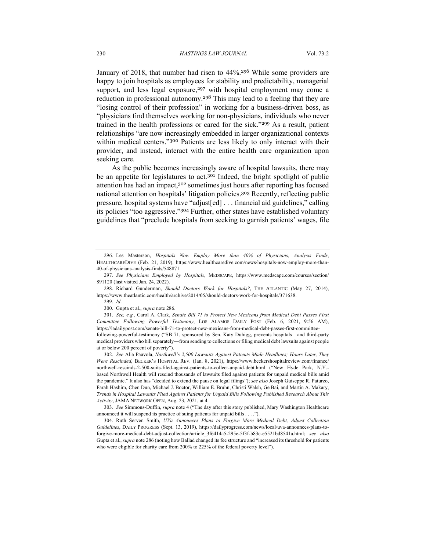January of 2018, that number had risen to 44%.<sup>296</sup> While some providers are happy to join hospitals as employees for stability and predictability, managerial support, and less legal exposure,<sup>297</sup> with hospital employment may come a reduction in professional autonomy.<sup>298</sup> This may lead to a feeling that they are "losing control of their profession" in working for a business-driven boss, as "physicians find themselves working for non-physicians, individuals who never trained in the health professions or cared for the sick."<sup>299</sup> As a result, patient relationships "are now increasingly embedded in larger organizational contexts within medical centers."300 Patients are less likely to only interact with their provider, and instead, interact with the entire health care organization upon seeking care.

As the public becomes increasingly aware of hospital lawsuits, there may be an appetite for legislatures to act.<sup>301</sup> Indeed, the bright spotlight of public attention has had an impact,<sup>302</sup> sometimes just hours after reporting has focused national attention on hospitals' litigation policies.<sup>303</sup> Recently, reflecting public pressure, hospital systems have "adjust[ed] . . . financial aid guidelines," calling its policies "too aggressive."<sup>304</sup> Further, other states have established voluntary guidelines that "preclude hospitals from seeking to garnish patients' wages, file

302. *See* Alia Paavola, *Northwell's 2,500 Lawsuits Against Patients Made Headlines; Hours Later, They Were Rescinded*, BECKER'S HOSPITAL REV. (Jan. 8, 2021), https://www.beckershospitalreview.com/finance/ northwell-rescinds-2-500-suits-filed-against-patients-to-collect-unpaid-debt.html ("New Hyde Park, N.Y. based Northwell Health will rescind thousands of lawsuits filed against patients for unpaid medical bills amid the pandemic." It also has "decided to extend the pause on legal filings"); *see also* Joseph Guiseppe R. Paturzo, Farah Hashim, Chen Dun, Michael J. Boctor, William E. Bruhn, Christi Walsh, Ge Bai, and Martin A. Makary, *Trends in Hospital Lawsuits Filed Against Patients for Unpaid Bills Following Published Research About This Activity*, JAMA NETWORK OPEN, Aug. 23, 2021, at 4.

303. *See* Simmons-Duffin, *supra* note 4 ("The day after this story published, Mary Washington Healthcare announced it will suspend its practice of suing patients for unpaid bills . . . .").

304. Ruth Serven Smith, *UVa Announces Plans to Forgive More Medical Debt, Adjust Collection Guidelines*, DAILY PROGRESS (Sept. 13, 2019), https://dailyprogress.com/news/local/uva-announces-plans-toforgive-more-medical-debt-adjust-collection/article\_3f6414a5-295e-5f3f-b83c-e5521bd8541a.html; *see also*  Gupta et al., *supra* note 286 (noting how Ballad changed its fee structure and "increased its threshold for patients who were eligible for charity care from 200% to 225% of the federal poverty level").

<sup>296.</sup> Les Masterson, *Hospitals Now Employ More than 40% of Physicians, Analysis Finds*, HEALTHCAREDIVE (Feb. 21, 2019), https://www.healthcaredive.com/news/hospitals-now-employ-more-than-40-of-physicians-analysis-finds/548871.

<sup>297.</sup> *See Physicians Employed by Hospitals*, MEDSCAPE, https://www.medscape.com/courses/section/ 891120 (last visited Jan. 24, 2022).

<sup>298.</sup> Richard Gunderman, *Should Doctors Work for Hospitals?*, THE ATLANTIC (May 27, 2014), https://www.theatlantic.com/health/archive/2014/05/should-doctors-work-for-hospitals/371638.

<sup>299.</sup> *Id*.

<sup>300.</sup> Gupta et al., *supra* note 286.

<sup>301.</sup> *See, e.g.*, Carol A. Clark, *Senate Bill 71 to Protect New Mexicans from Medical Debt Passes First Committee Following Powerful Testimony*, LOS ALAMOS DAILY POST (Feb. 6, 2021, 9:56 AM), https://ladailypost.com/senate-bill-71-to-protect-new-mexicans-from-medical-debt-passes-first-committeefollowing-powerful-testimony ("SB 71, sponsored by Sen. Katy Duhigg, prevents hospitals—and third-party medical providers who bill separately—from sending to collections or filing medical debt lawsuits against people at or below 200 percent of poverty").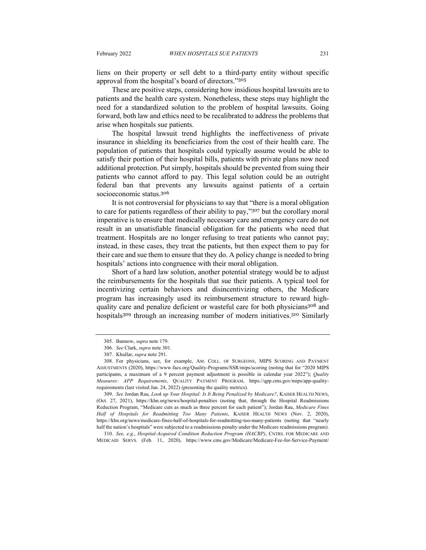liens on their property or sell debt to a third-party entity without specific approval from the hospital's board of directors."<sup>305</sup>

These are positive steps, considering how insidious hospital lawsuits are to patients and the health care system. Nonetheless, these steps may highlight the need for a standardized solution to the problem of hospital lawsuits. Going forward, both law and ethics need to be recalibrated to address the problems that arise when hospitals sue patients.

The hospital lawsuit trend highlights the ineffectiveness of private insurance in shielding its beneficiaries from the cost of their health care. The population of patients that hospitals could typically assume would be able to satisfy their portion of their hospital bills, patients with private plans now need additional protection. Put simply, hospitals should be prevented from suing their patients who cannot afford to pay. This legal solution could be an outright federal ban that prevents any lawsuits against patients of a certain socioeconomic status.<sup>306</sup>

It is not controversial for physicians to say that "there is a moral obligation to care for patients regardless of their ability to pay,"<sup>307</sup> but the corollary moral imperative is to ensure that medically necessary care and emergency care do not result in an unsatisfiable financial obligation for the patients who need that treatment. Hospitals are no longer refusing to treat patients who cannot pay; instead, in these cases, they treat the patients, but then expect them to pay for their care and sue them to ensure that they do. A policy change is needed to bring hospitals' actions into congruence with their moral obligation.

Short of a hard law solution, another potential strategy would be to adjust the reimbursements for the hospitals that sue their patients. A typical tool for incentivizing certain behaviors and disincentivizing others, the Medicare program has increasingly used its reimbursement structure to reward highquality care and penalize deficient or wasteful care for both physicians<sup>308</sup> and hospitals<sup>309</sup> through an increasing number of modern initiatives.<sup>310</sup> Similarly

310. *See, e.g.*, *Hospital-Acquired Condition Reduction Program (HACRP)*, CNTRS. FOR MEDICARE AND MEDICAID SERVS. (Feb. 11, 2020), https://www.cms.gov/Medicare/Medicare-Fee-for-Service-Payment/

<sup>305.</sup> Bannow, *supra* note 179.

<sup>306.</sup> *See* Clark, *supra* note 301.

<sup>307.</sup> Khullar, *supra* note 291.

<sup>308.</sup> For physicians, see, for example, AM. COLL. OF SURGEONS, MIPS SCORING AND PAYMENT ADJUSTMENTS (2020), https://www.facs.org/Quality-Programs/SSR/mips/scoring (noting that for "2020 MIPS participants, a maximum of a 9 percent payment adjustment is possible in calendar year 2022"); *Quality Measures: APP Requirements*, QUALITY PAYMENT PROGRAM, https://qpp.cms.gov/mips/app-qualityrequirements (last visited Jan. 24, 2022) (presenting the quality metrics).

<sup>309.</sup> *See* Jordan Rau, *Look up Your Hospital: Is It Being Penalized by Medicare?*, KAISER HEALTH NEWS, (Oct. 27, 2021), https://khn.org/news/hospital-penalties (noting that, through the Hospital Readmissions Reduction Program, "Medicare cuts as much as three percent for each patient"); Jordan Rau, *Medicare Fines Half of Hospitals for Readmitting Too Many Patients*, KAISER HEALTH NEWS (Nov. 2, 2020), https://khn.org/news/medicare-fines-half-of-hospitals-for-readmitting-too-many-patients (noting that "nearly half the nation's hospitals" were subjected to a readmissions penalty under the Medicare readmissions program).